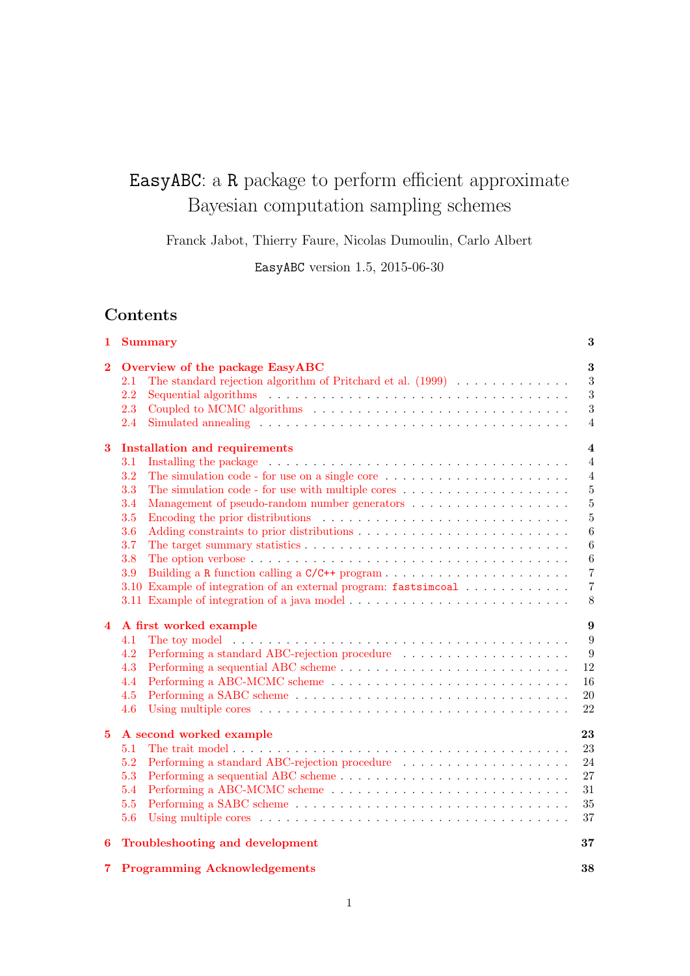# EasyABC: a R package to perform efficient approximate Bayesian computation sampling schemes

Franck Jabot, Thierry Faure, Nicolas Dumoulin, Carlo Albert

EasyABC version 1.5, 2015-06-30

# Contents

| 1        | <b>Summary</b>                                                                                                                                                                                                                        | 3              |
|----------|---------------------------------------------------------------------------------------------------------------------------------------------------------------------------------------------------------------------------------------|----------------|
| $\bf{2}$ | Overview of the package EasyABC                                                                                                                                                                                                       | $\bf{3}$       |
|          | The standard rejection algorithm of Pritchard et al. (1999)<br>2.1                                                                                                                                                                    | 3              |
|          | 2.2                                                                                                                                                                                                                                   | 3              |
|          | 2.3                                                                                                                                                                                                                                   | $\sqrt{3}$     |
|          | 2.4                                                                                                                                                                                                                                   | $\overline{4}$ |
| 3        | <b>Installation and requirements</b>                                                                                                                                                                                                  | 4              |
|          | Installing the package enterpreterminance of the set of the set of the set of the set of the set of the set of the set of the set of the set of the set of the set of the set of the set of the set of the set of the set of t<br>3.1 | 4              |
|          | The simulation code - for use on a single core $\dots \dots \dots \dots \dots \dots \dots \dots$<br>3.2                                                                                                                               | $\overline{4}$ |
|          | 3.3                                                                                                                                                                                                                                   | $\overline{5}$ |
|          | 3.4                                                                                                                                                                                                                                   | $\overline{5}$ |
|          | 3.5                                                                                                                                                                                                                                   | $\overline{5}$ |
|          | 3.6                                                                                                                                                                                                                                   | 6              |
|          | 3.7                                                                                                                                                                                                                                   | $\,6\,$        |
|          | 3.8<br>The option verbose $\dots \dots \dots \dots \dots \dots \dots \dots \dots \dots \dots \dots \dots \dots \dots$                                                                                                                 | $\,6\,$        |
|          | 3.9                                                                                                                                                                                                                                   | $\overline{7}$ |
|          |                                                                                                                                                                                                                                       | $\overline{7}$ |
|          | 3.11 Example of integration of a java model                                                                                                                                                                                           | $8\,$          |
| 4        | A first worked example                                                                                                                                                                                                                | 9              |
|          | 4.1                                                                                                                                                                                                                                   | 9              |
|          | Performing a standard ABC-rejection procedure<br>4.2                                                                                                                                                                                  | 9              |
|          | 4.3                                                                                                                                                                                                                                   | 12             |
|          | 4.4                                                                                                                                                                                                                                   | 16             |
|          | 4.5                                                                                                                                                                                                                                   | 20             |
|          | 4.6                                                                                                                                                                                                                                   | 22             |
| 5        | A second worked example                                                                                                                                                                                                               | 23             |
|          | 5.1                                                                                                                                                                                                                                   | 23             |
|          | 5.2<br>Performing a standard ABC-rejection procedure $\quad \ldots \ldots \ldots \ldots \ldots \ldots \ldots \ldots$                                                                                                                  | 24             |
|          | 5.3                                                                                                                                                                                                                                   | 27             |
|          | 5.4                                                                                                                                                                                                                                   | 31             |
|          | $5.5$                                                                                                                                                                                                                                 | $35\,$         |
|          | 5.6                                                                                                                                                                                                                                   | 37             |
| 6        | Troubleshooting and development                                                                                                                                                                                                       | 37             |
| 7        | <b>Programming Acknowledgements</b>                                                                                                                                                                                                   | 38             |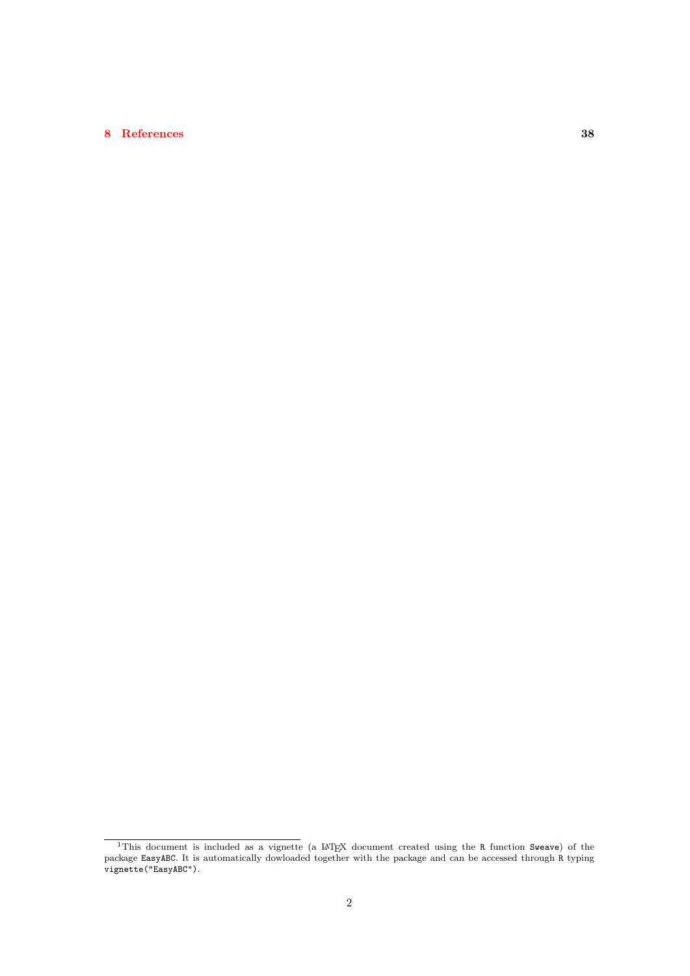# [8 References](#page-37-1) 38

<sup>&</sup>lt;sup>1</sup>This document is included as a vignette (a LATEX document created using the R function Sweave) of the package EasyABC. It is automatically dowloaded together with the package and can be accessed through R typing vignette("EasyABC").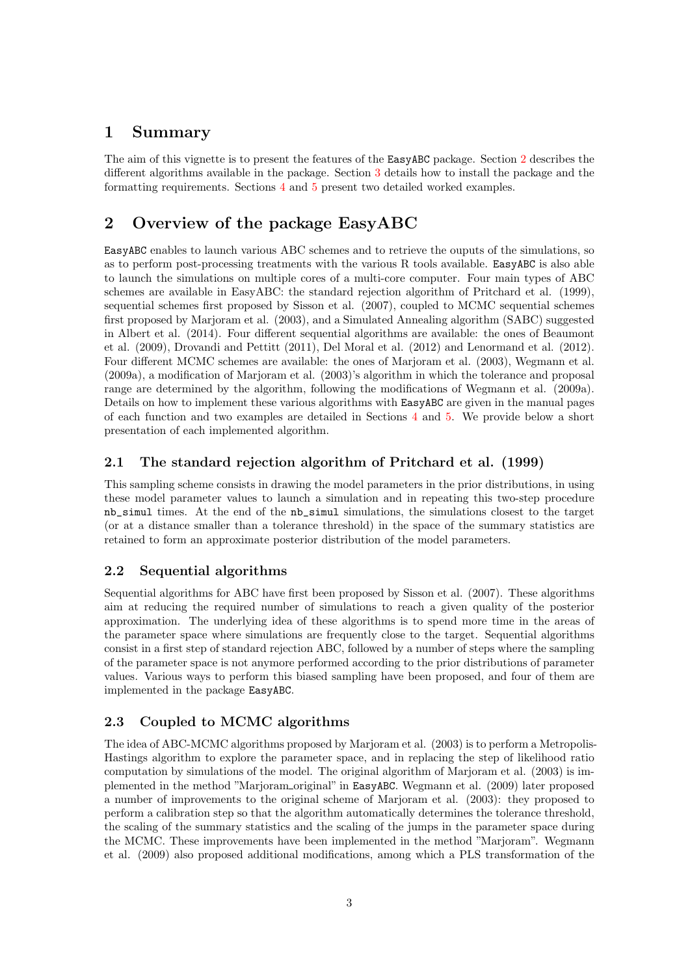# <span id="page-2-0"></span>1 Summary

The aim of this vignette is to present the features of the EasyABC package. Section [2](#page-2-1) describes the different algorithms available in the package. Section [3](#page-3-1) details how to install the package and the formatting requirements. Sections [4](#page-8-0) and [5](#page-22-0) present two detailed worked examples.

# <span id="page-2-1"></span>2 Overview of the package EasyABC

EasyABC enables to launch various ABC schemes and to retrieve the ouputs of the simulations, so as to perform post-processing treatments with the various R tools available. EasyABC is also able to launch the simulations on multiple cores of a multi-core computer. Four main types of ABC schemes are available in EasyABC: the standard rejection algorithm of Pritchard et al. (1999), sequential schemes first proposed by Sisson et al. (2007), coupled to MCMC sequential schemes first proposed by Marjoram et al. (2003), and a Simulated Annealing algorithm (SABC) suggested in Albert et al. (2014). Four different sequential algorithms are available: the ones of Beaumont et al. (2009), Drovandi and Pettitt (2011), Del Moral et al. (2012) and Lenormand et al. (2012). Four different MCMC schemes are available: the ones of Marjoram et al. (2003), Wegmann et al. (2009a), a modification of Marjoram et al. (2003)'s algorithm in which the tolerance and proposal range are determined by the algorithm, following the modifications of Wegmann et al. (2009a). Details on how to implement these various algorithms with EasyABC are given in the manual pages of each function and two examples are detailed in Sections [4](#page-8-0) and [5.](#page-22-0) We provide below a short presentation of each implemented algorithm.

# <span id="page-2-2"></span>2.1 The standard rejection algorithm of Pritchard et al. (1999)

This sampling scheme consists in drawing the model parameters in the prior distributions, in using these model parameter values to launch a simulation and in repeating this two-step procedure nb\_simul times. At the end of the nb\_simul simulations, the simulations closest to the target (or at a distance smaller than a tolerance threshold) in the space of the summary statistics are retained to form an approximate posterior distribution of the model parameters.

# <span id="page-2-3"></span>2.2 Sequential algorithms

Sequential algorithms for ABC have first been proposed by Sisson et al. (2007). These algorithms aim at reducing the required number of simulations to reach a given quality of the posterior approximation. The underlying idea of these algorithms is to spend more time in the areas of the parameter space where simulations are frequently close to the target. Sequential algorithms consist in a first step of standard rejection ABC, followed by a number of steps where the sampling of the parameter space is not anymore performed according to the prior distributions of parameter values. Various ways to perform this biased sampling have been proposed, and four of them are implemented in the package EasyABC.

# <span id="page-2-4"></span>2.3 Coupled to MCMC algorithms

The idea of ABC-MCMC algorithms proposed by Marjoram et al. (2003) is to perform a Metropolis-Hastings algorithm to explore the parameter space, and in replacing the step of likelihood ratio computation by simulations of the model. The original algorithm of Marjoram et al. (2003) is implemented in the method "Marjoram original" in EasyABC. Wegmann et al. (2009) later proposed a number of improvements to the original scheme of Marjoram et al. (2003): they proposed to perform a calibration step so that the algorithm automatically determines the tolerance threshold, the scaling of the summary statistics and the scaling of the jumps in the parameter space during the MCMC. These improvements have been implemented in the method "Marjoram". Wegmann et al. (2009) also proposed additional modifications, among which a PLS transformation of the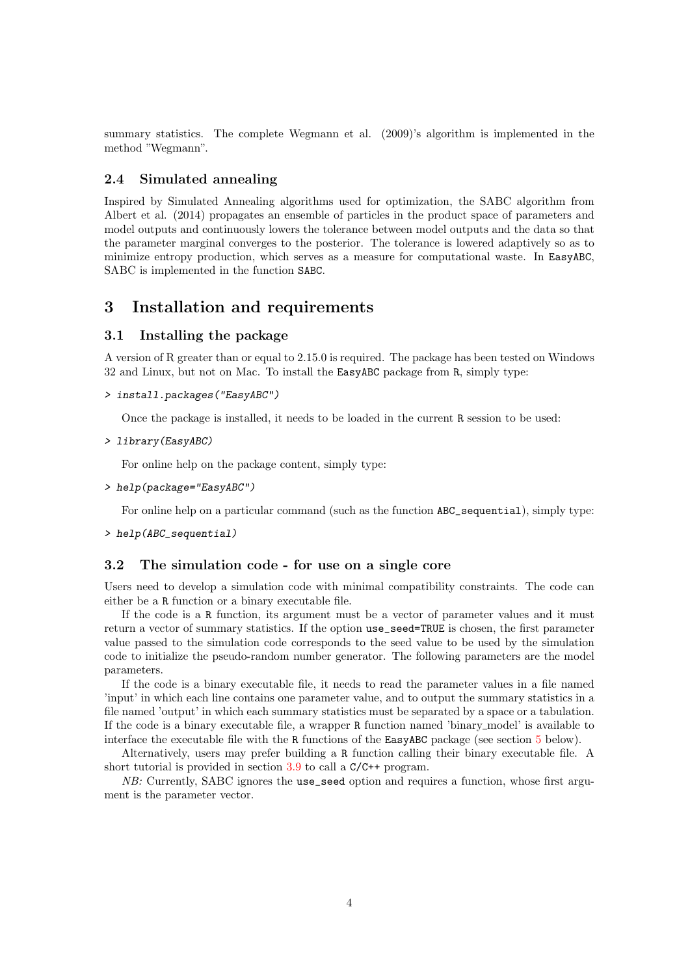summary statistics. The complete Wegmann et al. (2009)'s algorithm is implemented in the method "Wegmann".

## <span id="page-3-0"></span>2.4 Simulated annealing

Inspired by Simulated Annealing algorithms used for optimization, the SABC algorithm from Albert et al. (2014) propagates an ensemble of particles in the product space of parameters and model outputs and continuously lowers the tolerance between model outputs and the data so that the parameter marginal converges to the posterior. The tolerance is lowered adaptively so as to minimize entropy production, which serves as a measure for computational waste. In EasyABC, SABC is implemented in the function SABC.

# <span id="page-3-1"></span>3 Installation and requirements

### <span id="page-3-2"></span>3.1 Installing the package

A version of R greater than or equal to 2.15.0 is required. The package has been tested on Windows 32 and Linux, but not on Mac. To install the EasyABC package from R, simply type:

### > install.packages("EasyABC")

Once the package is installed, it needs to be loaded in the current R session to be used:

#### > library(EasyABC)

For online help on the package content, simply type:

### > help(package="EasyABC")

For online help on a particular command (such as the function  $ABC$  sequential), simply type:

### > help(ABC\_sequential)

### <span id="page-3-3"></span>3.2 The simulation code - for use on a single core

Users need to develop a simulation code with minimal compatibility constraints. The code can either be a R function or a binary executable file.

If the code is a R function, its argument must be a vector of parameter values and it must return a vector of summary statistics. If the option use\_seed=TRUE is chosen, the first parameter value passed to the simulation code corresponds to the seed value to be used by the simulation code to initialize the pseudo-random number generator. The following parameters are the model parameters.

If the code is a binary executable file, it needs to read the parameter values in a file named 'input' in which each line contains one parameter value, and to output the summary statistics in a file named 'output' in which each summary statistics must be separated by a space or a tabulation. If the code is a binary executable file, a wrapper R function named 'binary model' is available to interface the executable file with the R functions of the EasyABC package (see section [5](#page-22-0) below).

Alternatively, users may prefer building a R function calling their binary executable file. A short tutorial is provided in section [3.9](#page-6-0) to call a C/C++ program.

NB: Currently, SABC ignores the use\_seed option and requires a function, whose first argument is the parameter vector.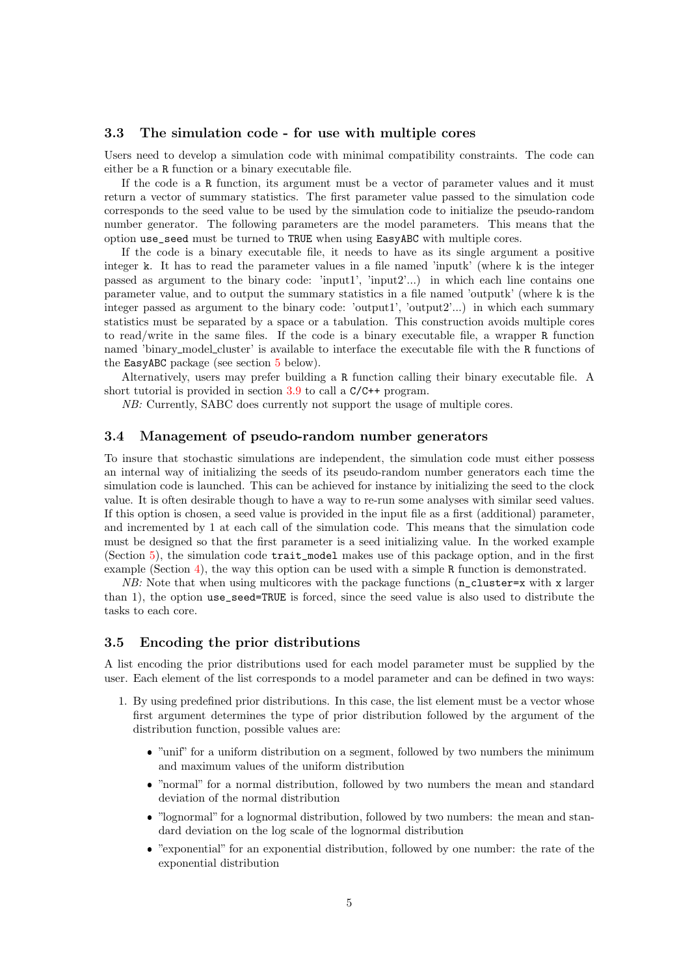## <span id="page-4-0"></span>3.3 The simulation code - for use with multiple cores

Users need to develop a simulation code with minimal compatibility constraints. The code can either be a R function or a binary executable file.

If the code is a R function, its argument must be a vector of parameter values and it must return a vector of summary statistics. The first parameter value passed to the simulation code corresponds to the seed value to be used by the simulation code to initialize the pseudo-random number generator. The following parameters are the model parameters. This means that the option use\_seed must be turned to TRUE when using EasyABC with multiple cores.

If the code is a binary executable file, it needs to have as its single argument a positive integer k. It has to read the parameter values in a file named 'inputk' (where k is the integer passed as argument to the binary code: 'input1', 'input2'...) in which each line contains one parameter value, and to output the summary statistics in a file named 'outputk' (where k is the integer passed as argument to the binary code: 'output1', 'output2'...) in which each summary statistics must be separated by a space or a tabulation. This construction avoids multiple cores to read/write in the same files. If the code is a binary executable file, a wrapper R function named 'binary model cluster' is available to interface the executable file with the R functions of the EasyABC package (see section [5](#page-22-0) below).

Alternatively, users may prefer building a R function calling their binary executable file. A short tutorial is provided in section [3.9](#page-6-0) to call a C/C++ program.

NB: Currently, SABC does currently not support the usage of multiple cores.

# <span id="page-4-1"></span>3.4 Management of pseudo-random number generators

To insure that stochastic simulations are independent, the simulation code must either possess an internal way of initializing the seeds of its pseudo-random number generators each time the simulation code is launched. This can be achieved for instance by initializing the seed to the clock value. It is often desirable though to have a way to re-run some analyses with similar seed values. If this option is chosen, a seed value is provided in the input file as a first (additional) parameter, and incremented by 1 at each call of the simulation code. This means that the simulation code must be designed so that the first parameter is a seed initializing value. In the worked example (Section [5\)](#page-22-0), the simulation code trait\_model makes use of this package option, and in the first example (Section [4\)](#page-8-0), the way this option can be used with a simple R function is demonstrated.

 $NB:$  Note that when using multicores with the package functions  $(n_{\text{cluster}} = x \text{ with } x \text{ larger})$ than 1), the option use\_seed=TRUE is forced, since the seed value is also used to distribute the tasks to each core.

## <span id="page-4-2"></span>3.5 Encoding the prior distributions

A list encoding the prior distributions used for each model parameter must be supplied by the user. Each element of the list corresponds to a model parameter and can be defined in two ways:

- 1. By using predefined prior distributions. In this case, the list element must be a vector whose first argument determines the type of prior distribution followed by the argument of the distribution function, possible values are:
	- "unif" for a uniform distribution on a segment, followed by two numbers the minimum and maximum values of the uniform distribution
	- "normal" for a normal distribution, followed by two numbers the mean and standard deviation of the normal distribution
	- "lognormal" for a lognormal distribution, followed by two numbers: the mean and standard deviation on the log scale of the lognormal distribution
	- "exponential" for an exponential distribution, followed by one number: the rate of the exponential distribution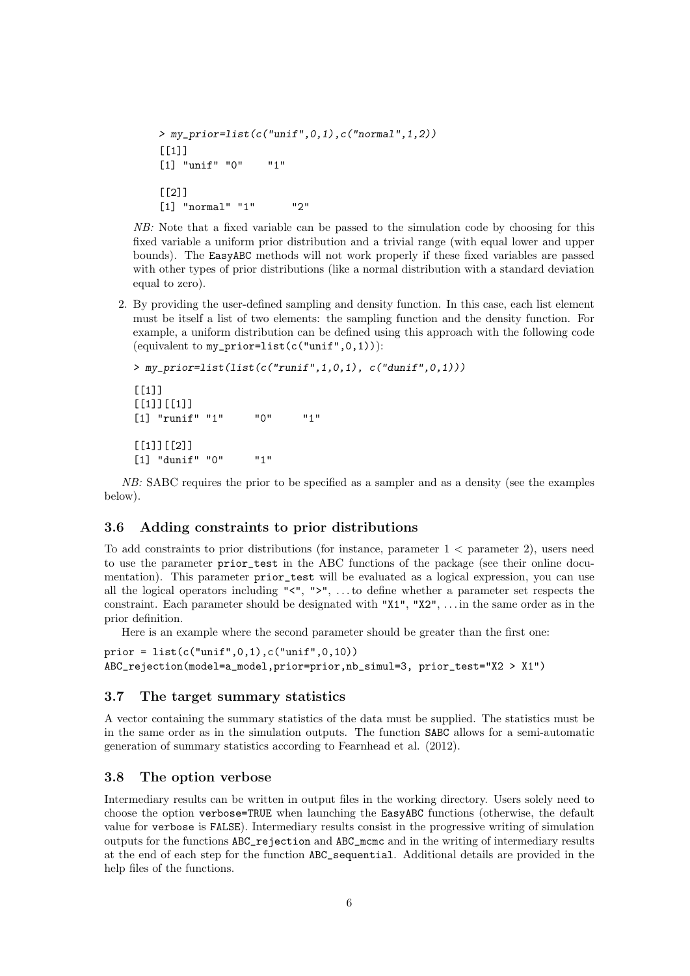```
> my_prior=list(c("unif",0,1),c("normal",1,2))
[[1]]
[1] "unif" "0" "1"
[[2]]
[1] "normal" "1" "2"
```
NB: Note that a fixed variable can be passed to the simulation code by choosing for this fixed variable a uniform prior distribution and a trivial range (with equal lower and upper bounds). The EasyABC methods will not work properly if these fixed variables are passed with other types of prior distributions (like a normal distribution with a standard deviation equal to zero).

2. By providing the user-defined sampling and density function. In this case, each list element must be itself a list of two elements: the sampling function and the density function. For example, a uniform distribution can be defined using this approach with the following code (equivalent to  $my\_prior=list(c("unif",0,1))$ ):

```
> my_prior=list(list(c("runif",1,0,1), c("dunif",0,1)))
[[1]]
[[1]][[1]]
[1] "runif" "1" "0" "1"
[[1]][[2]]
[1] "dunif" "0" "1"
```
NB: SABC requires the prior to be specified as a sampler and as a density (see the examples below).

# <span id="page-5-0"></span>3.6 Adding constraints to prior distributions

To add constraints to prior distributions (for instance, parameter  $1 <$  parameter 2), users need to use the parameter prior\_test in the ABC functions of the package (see their online documentation). This parameter prior\_test will be evaluated as a logical expression, you can use all the logical operators including " $\leq$ ", " $\geq$ ", ... to define whether a parameter set respects the constraint. Each parameter should be designated with "X1", "X2", . . . in the same order as in the prior definition.

Here is an example where the second parameter should be greater than the first one:

```
prior = list(c("unif", 0, 1), c("unif", 0, 10))ABC_rejection(model=a_model,prior=prior,nb_simul=3, prior_test="X2 > X1")
```
### <span id="page-5-1"></span>3.7 The target summary statistics

A vector containing the summary statistics of the data must be supplied. The statistics must be in the same order as in the simulation outputs. The function SABC allows for a semi-automatic generation of summary statistics according to Fearnhead et al. (2012).

### <span id="page-5-2"></span>3.8 The option verbose

Intermediary results can be written in output files in the working directory. Users solely need to choose the option verbose=TRUE when launching the EasyABC functions (otherwise, the default value for verbose is FALSE). Intermediary results consist in the progressive writing of simulation outputs for the functions ABC\_rejection and ABC\_mcmc and in the writing of intermediary results at the end of each step for the function ABC\_sequential. Additional details are provided in the help files of the functions.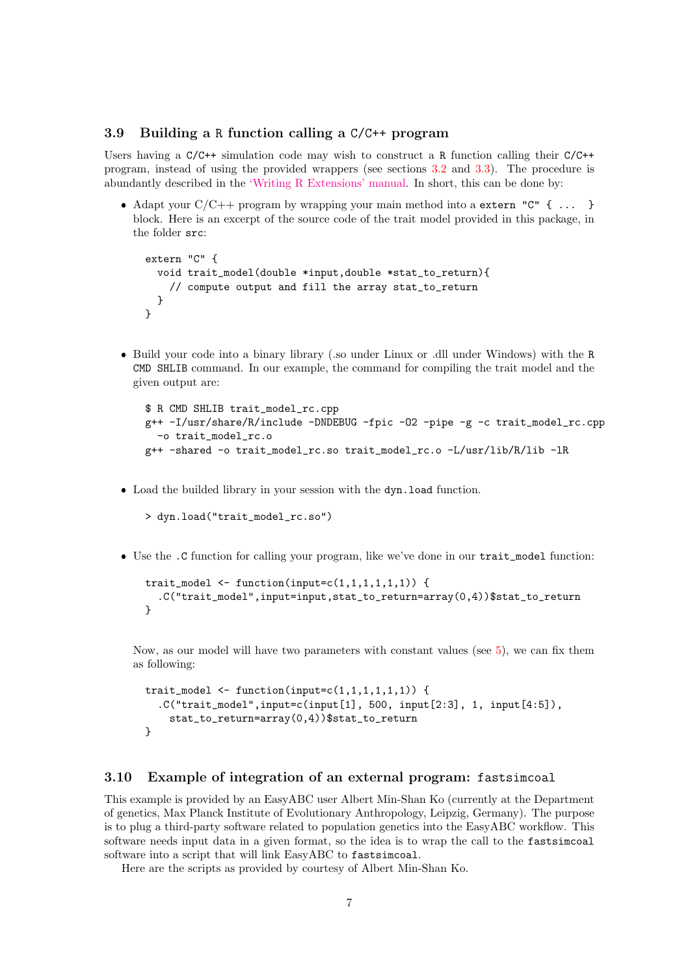# <span id="page-6-0"></span>3.9 Building a R function calling a C/C++ program

Users having a  $C/C++$  simulation code may wish to construct a R function calling their  $C/C++$ program, instead of using the provided wrappers (see sections [3.2](#page-3-3) and [3.3\)](#page-4-0). The procedure is abundantly described in the ['Writing R Extensions' manual.](http://cran.r-project.org/doc/manuals/R-exts.html) In short, this can be done by:

• Adapt your  $C/C++$  program by wrapping your main method into a extern "C" { ... } block. Here is an excerpt of the source code of the trait model provided in this package, in the folder src:

```
extern "C" {
  void trait_model(double *input,double *stat_to_return){
    // compute output and fill the array stat_to_return
  }
}
```
 Build your code into a binary library (.so under Linux or .dll under Windows) with the R CMD SHLIB command. In our example, the command for compiling the trait model and the given output are:

```
$ R CMD SHLIB trait_model_rc.cpp
g++ -I/usr/share/R/include -DNDEBUG -fpic -O2 -pipe -g -c trait_model_rc.cpp
 -o trait_model_rc.o
g++ -shared -o trait_model_rc.so trait_model_rc.o -L/usr/lib/R/lib -lR
```
- Load the builded library in your session with the dyn.load function.
	- > dyn.load("trait\_model\_rc.so")
- Use the .C function for calling your program, like we've done in our trait\_model function:

```
trait_model \leftarrow function(input=c(1,1,1,1,1,1)) {
  .C("trait_model",input=input,stat_to_return=array(0,4))$stat_to_return
}
```
Now, as our model will have two parameters with constant values (see [5\)](#page-22-0), we can fix them as following:

```
trait_model \leftarrow function(input=c(1,1,1,1,1,1)) {
  .C("trait_model", input=c(input[1], 500, input[2:3], 1, input[4:5]),stat_to_return=array(0,4))$stat_to_return
}
```
### <span id="page-6-1"></span>3.10 Example of integration of an external program: fastsimcoal

This example is provided by an EasyABC user Albert Min-Shan Ko (currently at the Department of genetics, Max Planck Institute of Evolutionary Anthropology, Leipzig, Germany). The purpose is to plug a third-party software related to population genetics into the EasyABC workflow. This software needs input data in a given format, so the idea is to wrap the call to the fastsimcoal software into a script that will link EasyABC to fastsimcoal.

Here are the scripts as provided by courtesy of Albert Min-Shan Ko.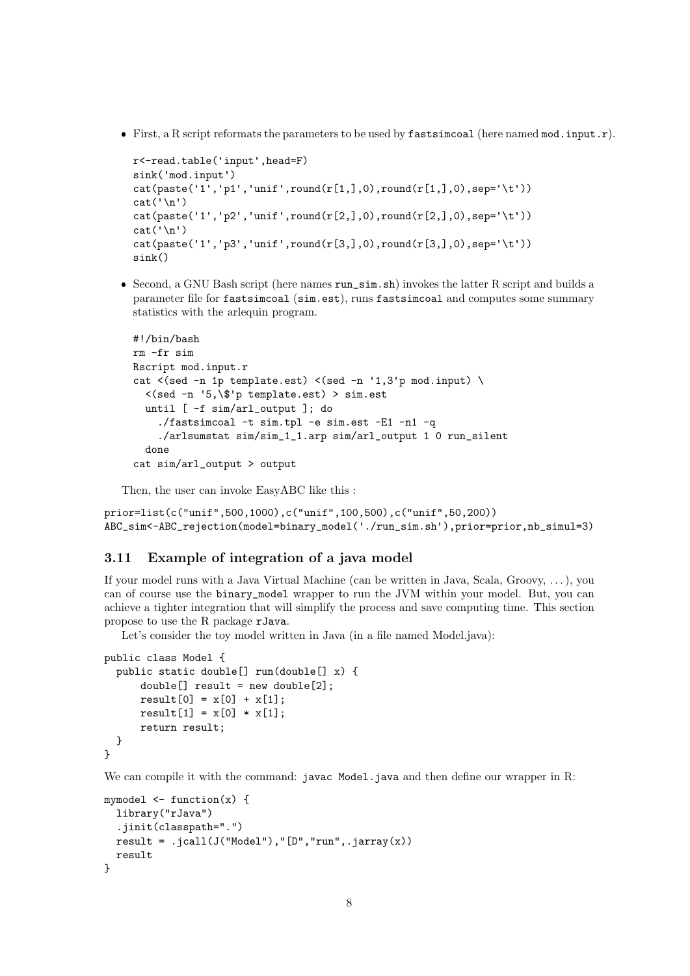First, a R script reformats the parameters to be used by  $\mathtt{fastsimcoal}$  (here named  $\mathtt{mod.input.r}$ ).

```
r<-read.table('input',head=F)
sink('mod.input')
cat(paste('1', 'p1', 'unif',round(r[1,],0),round(r[1,],0),sep=' \t)cat('\n'\)cat(paste('1', 'p2', 'unif', round(r[2,], 0), round(r[2,], 0), sep=' \t)cat('\n\n')cat(paste('1', 'p3', 'unif', round(r[3,],0), round(r[3,],0), sep=' \t)sink()
```
 Second, a GNU Bash script (here names run\_sim.sh) invokes the latter R script and builds a parameter file for fastsimcoal (sim.est), runs fastsimcoal and computes some summary statistics with the arlequin program.

```
#!/bin/bash
rm -fr sim
Rscript mod.input.r
cat \langle(sed -n 1p template.est) \langle(sed -n '1,3'p mod.input) \langle<(sed -n '5,\$'p template.est) > sim.est
  until [ -f sim/arl_output ]; do
    ./fastsimcoal -t sim.tpl -e sim.est -E1 -n1 -q
    ./arlsumstat sim/sim_1_1.arp sim/arl_output 1 0 run_silent
  done
cat sim/arl_output > output
```
Then, the user can invoke EasyABC like this :

```
prior=list(c("unif",500,1000),c("unif",100,500),c("unif",50,200))
ABC_sim<-ABC_rejection(model=binary_model('./run_sim.sh'),prior=prior,nb_simul=3)
```
# <span id="page-7-0"></span>3.11 Example of integration of a java model

If your model runs with a Java Virtual Machine (can be written in Java, Scala, Groovy, . . . ), you can of course use the binary\_model wrapper to run the JVM within your model. But, you can achieve a tighter integration that will simplify the process and save computing time. This section propose to use the R package rJava.

Let's consider the toy model written in Java (in a file named Model.java):

```
public class Model {
 public static double[] run(double[] x) {
      double[] result = new double[2];result[0] = x[0] + x[1];result[1] = x[0] * x[1];return result;
 }
}
```
We can compile it with the command: javac Model.java and then define our wrapper in R:

```
mymodel \leq function(x) {
 library("rJava")
  .jinit(classpath=".")
 result = .jcall(J("Model"),"[D","run",.jarray(x))
 result
}
```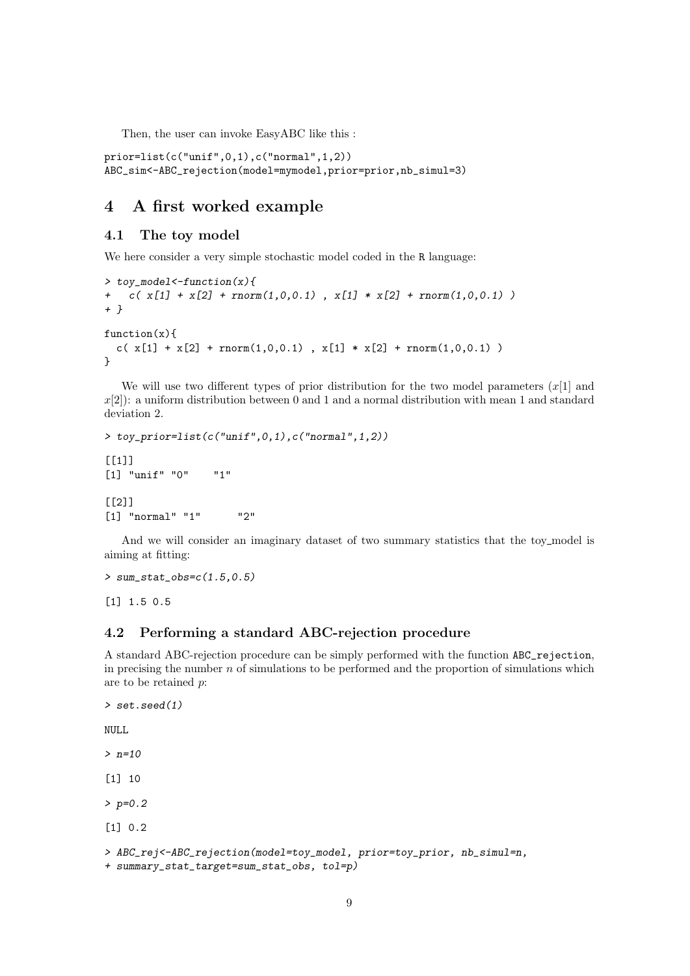Then, the user can invoke EasyABC like this :

```
prior=list(c("unif",0,1),c("normal",1,2))
ABC_sim<-ABC_rejection(model=mymodel,prior=prior,nb_simul=3)
```
# <span id="page-8-0"></span>4 A first worked example

# <span id="page-8-1"></span>4.1 The toy model

We here consider a very simple stochastic model coded in the R language:

```
> toy_model<-function(x){
  c([ x[1] + x[2] + rnorm(1,0,0.1) , x[1] * x[2] + rnorm(1,0,0.1) )+ }
function(x){
 c(x[1] + x[2] + \text{norm}(1,0,0.1), x[1] * x[2] + \text{norm}(1,0,0.1))
}
```
We will use two different types of prior distribution for the two model parameters  $(x[1]$  and  $x[2]$ : a uniform distribution between 0 and 1 and a normal distribution with mean 1 and standard deviation 2.

```
> toy_prior=list(c("unif",0,1),c("normal",1,2))
[[1]]][1] "unif" "0" "1"
[[2]]
[1] "normal" "1" "2"
```
And we will consider an imaginary dataset of two summary statistics that the toy model is aiming at fitting:

 $>$  sum\_stat\_obs= $c(1.5, 0.5)$ 

[1] 1.5 0.5

# <span id="page-8-2"></span>4.2 Performing a standard ABC-rejection procedure

A standard ABC-rejection procedure can be simply performed with the function ABC\_rejection, in precising the number  $n$  of simulations to be performed and the proportion of simulations which are to be retained p:

```
> set.seed(1)
```
NULL

> n=10

[1] 10

 $> p=0.2$ 

[1] 0.2

```
> ABC_rej<-ABC_rejection(model=toy_model, prior=toy_prior, nb_simul=n,
```

```
+ summary_stat_target=sum_stat_obs, tol=p)
```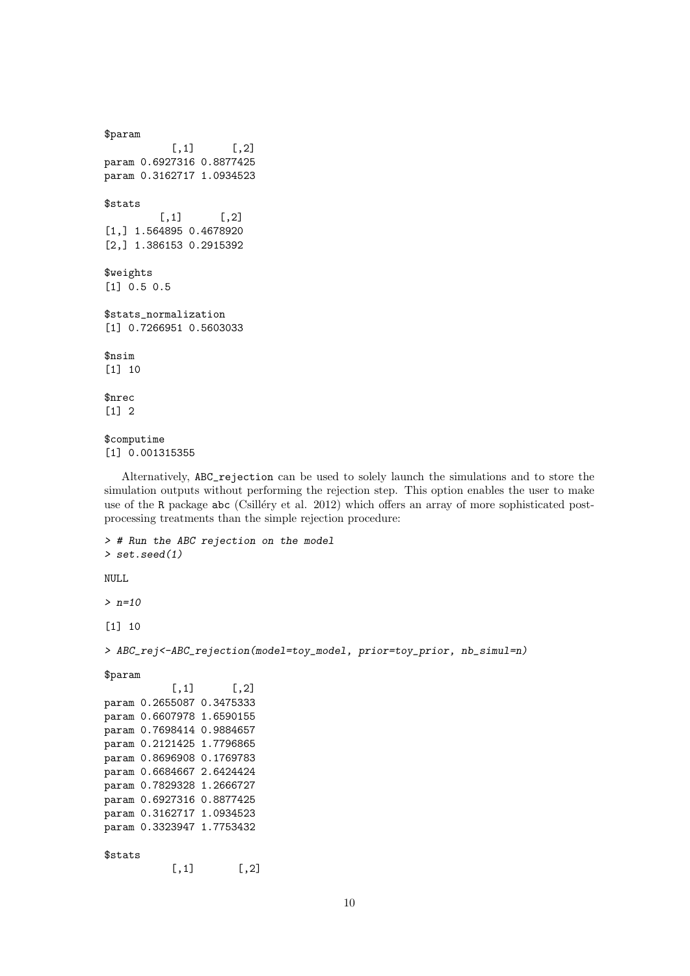\$param  $[,1]$   $[,2]$ param 0.6927316 0.8877425 param 0.3162717 1.0934523 \$stats  $[,1]$   $[,2]$ [1,] 1.564895 0.4678920 [2,] 1.386153 0.2915392 \$weights [1] 0.5 0.5 \$stats\_normalization [1] 0.7266951 0.5603033 \$nsim [1] 10 \$nrec [1] 2 \$computime [1] 0.001315355

Alternatively, ABC\_rejection can be used to solely launch the simulations and to store the simulation outputs without performing the rejection step. This option enables the user to make use of the R package abc (Csilléry et al. 2012) which offers an array of more sophisticated postprocessing treatments than the simple rejection procedure:

```
> # Run the ABC rejection on the model
> set.seed(1)
NULL
> n=10[1] 10
> ABC_rej<-ABC_rejection(model=toy_model, prior=toy_prior, nb_simul=n)
$param
           [,1] [,2]param 0.2655087 0.3475333
param 0.6607978 1.6590155
param 0.7698414 0.9884657
param 0.2121425 1.7796865
param 0.8696908 0.1769783
param 0.6684667 2.6424424
param 0.7829328 1.2666727
param 0.6927316 0.8877425
param 0.3162717 1.0934523
param 0.3323947 1.7753432
$stats
```

```
[,1] [,2]
```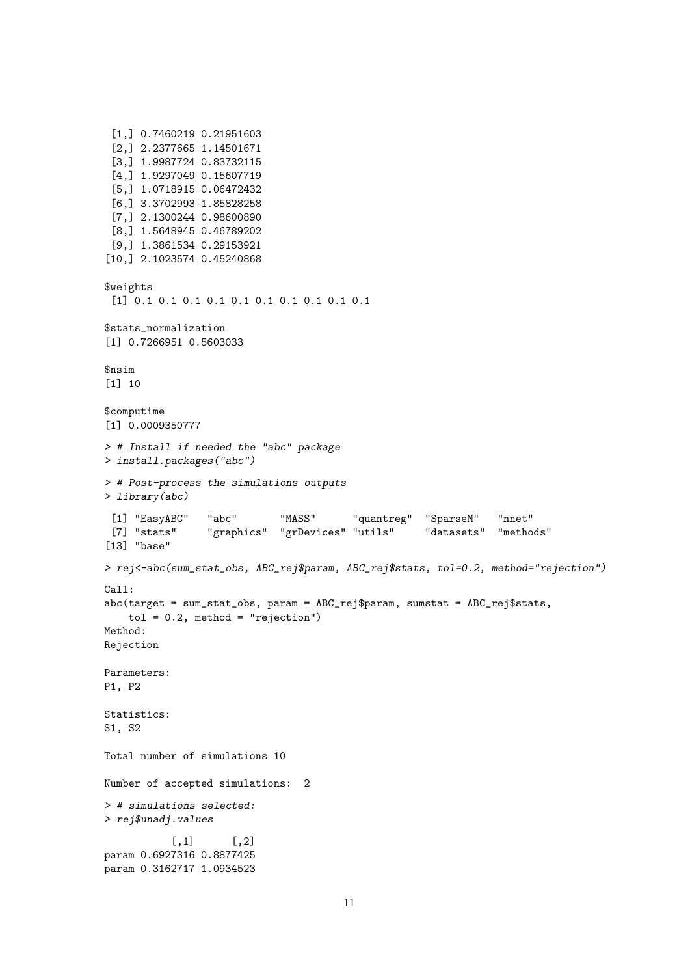```
[1,] 0.7460219 0.21951603
 [2,] 2.2377665 1.14501671
 [3,] 1.9987724 0.83732115
 [4,] 1.9297049 0.15607719
 [5,] 1.0718915 0.06472432
 [6,] 3.3702993 1.85828258
 [7,] 2.1300244 0.98600890
 [8,] 1.5648945 0.46789202
 [9,] 1.3861534 0.29153921
[10,] 2.1023574 0.45240868
$weights
 [1] 0.1 0.1 0.1 0.1 0.1 0.1 0.1 0.1 0.1 0.1
$stats_normalization
[1] 0.7266951 0.5603033
$nsim
[1] 10
$computime
[1] 0.0009350777
> # Install if needed the "abc" package
> install.packages("abc")
> # Post-process the simulations outputs
> library(abc)
 [1] "EasyABC" "abc" "MASS" "quantreg" "SparseM" "nnet"
                 "graphics" "grDevices" "utils"
[13] "base"
> rej<-abc(sum_stat_obs, ABC_rej$param, ABC_rej$stats, tol=0.2, method="rejection")
Call:
abc(target = sum_stat_obs, param = ABC_rej$param, sumstat = ABC_rej$stats,
    tol = 0.2, method = "rejection")
Method:
Rejection
Parameters:
P1, P2
Statistics:
S1, S2
Total number of simulations 10
Number of accepted simulations: 2
> # simulations selected:
> rej$unadj.values
           [,1] [,2]param 0.6927316 0.8877425
param 0.3162717 1.0934523
```

```
11
```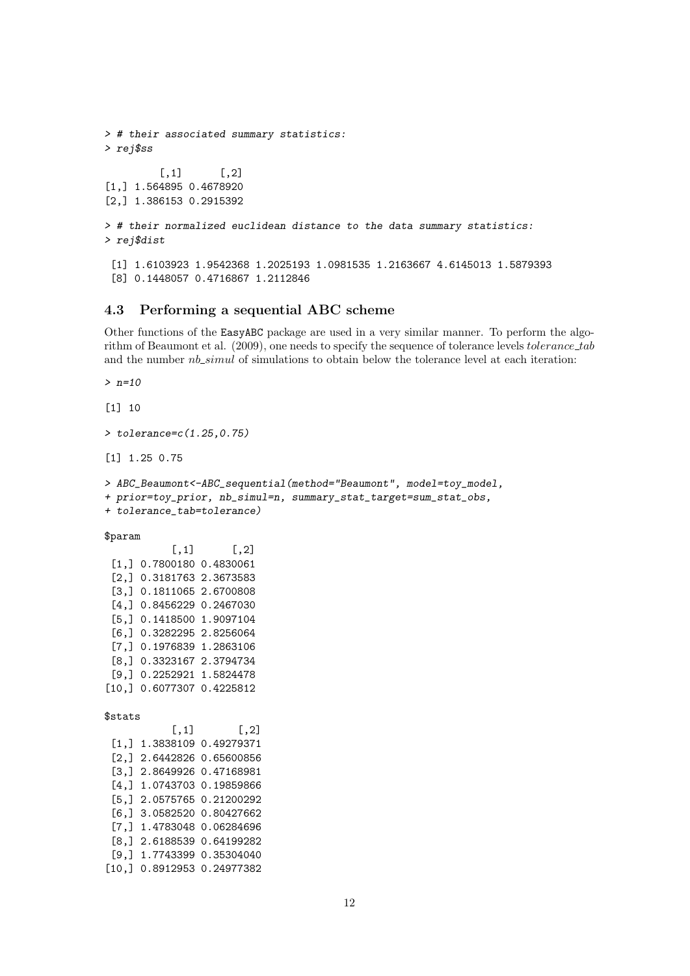```
> # their associated summary statistics:
> rej$ss
         \lceil,1\rceil \lceil,2\rceil[1,] 1.564895 0.4678920
[2,] 1.386153 0.2915392
> # their normalized euclidean distance to the data summary statistics:
> rej$dist
 [1] 1.6103923 1.9542368 1.2025193 1.0981535 1.2163667 4.6145013 1.5879393
 [8] 0.1448057 0.4716867 1.2112846
```
# <span id="page-11-0"></span>4.3 Performing a sequential ABC scheme

Other functions of the EasyABC package are used in a very similar manner. To perform the algorithm of Beaumont et al.  $(2009)$ , one needs to specify the sequence of tolerance levels *tolerance\_tab* and the number  $nb\_simul$  of simulations to obtain below the tolerance level at each iteration:

> n=10

[1] 10

```
> tolerance=c(1.25,0.75)
```
[1] 1.25 0.75

```
> ABC_Beaumont<-ABC_sequential(method="Beaumont", model=toy_model,
```

```
+ prior=toy_prior, nb_simul=n, summary_stat_target=sum_stat_obs,
```

```
+ tolerance_tab=tolerance)
```
\$param

|       | $[$ , 1]            | $[$ , 2]            |
|-------|---------------------|---------------------|
| [1,]  | 0.7800180 0.4830061 |                     |
| [2,]  | 0.3181763 2.3673583 |                     |
| [3,]  | 0.1811065 2.6700808 |                     |
| [4,]  | 0.8456229 0.2467030 |                     |
| [5,]  |                     | 0.1418500 1.9097104 |
| [6,]  |                     | 0.3282295 2.8256064 |
| [7,]  |                     | 0.1976839 1.2863106 |
| [8,]  |                     | 0.3323167 2.3794734 |
| [9,]  |                     | 0.2252921 1.5824478 |
| [10.] |                     | 0.6077307 0.4225812 |

\$stats

|                    | $\left[ ,1\right]$<br>[,2] |
|--------------------|----------------------------|
| $\left[1, \right]$ | 1.3838109 0.49279371       |
| [2,]               | 2.6442826 0.65600856       |
| [3,]               | 2.8649926 0.47168981       |
| $[4,$ ]            | 1.0743703 0.19859866       |
| [5,]               | 2.0575765 0.21200292       |
| [6, ]              | 3.0582520 0.80427662       |
| [7,]               | 1.4783048 0.06284696       |
| [8,]               | 2.6188539 0.64199282       |
| [9,]               | 1.7743399 0.35304040       |
| [10.]              | 0.8912953 0.24977382       |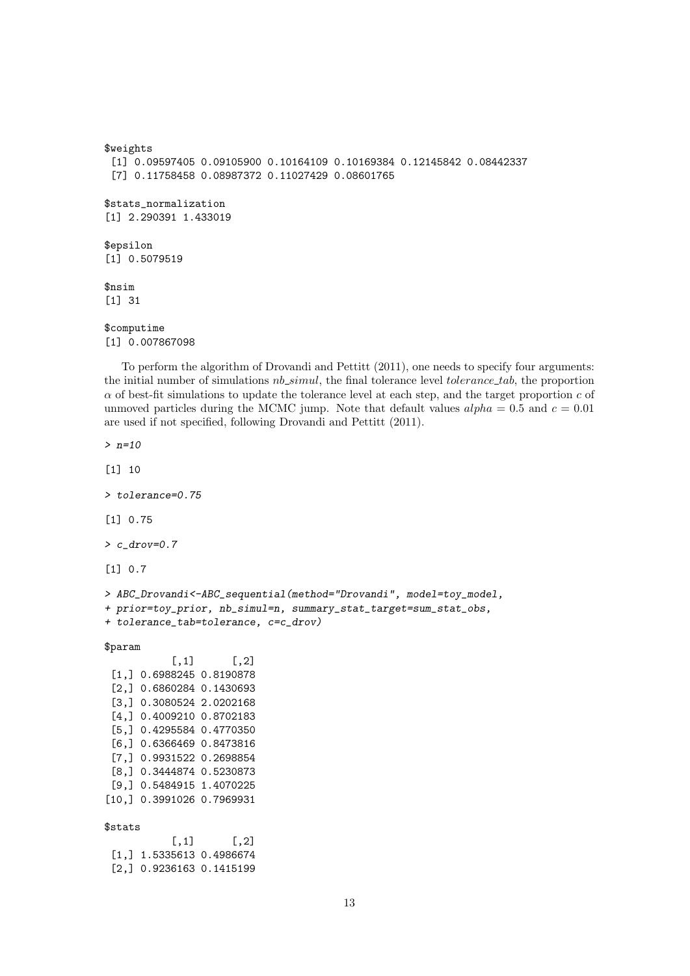```
$weights
 [1] 0.09597405 0.09105900 0.10164109 0.10169384 0.12145842 0.08442337
 [7] 0.11758458 0.08987372 0.11027429 0.08601765
$stats_normalization
[1] 2.290391 1.433019
$epsilon
[1] 0.5079519
$nsim
[1] 31
$computime
[1] 0.007867098
```
To perform the algorithm of Drovandi and Pettitt (2011), one needs to specify four arguments: the initial number of simulations  $nb\text{-}simul$ , the final tolerance level tolerance  $tab$ , the proportion  $\alpha$  of best-fit simulations to update the tolerance level at each step, and the target proportion  $c$  of unmoved particles during the MCMC jump. Note that default values  $alpha = 0.5$  and  $c = 0.01$ are used if not specified, following Drovandi and Pettitt (2011).

> n=10

[1] 10

```
> tolerance=0.75
```
[1] 0.75

 $> c_d$ rov=0.7

[1] 0.7

```
> ABC_Drovandi<-ABC_sequential(method="Drovandi", model=toy_model,
```

```
+ prior=toy_prior, nb_simul=n, summary_stat_target=sum_stat_obs,
```
+ tolerance\_tab=tolerance, c=c\_drov)

#### \$param

 $\lceil,1\rceil$   $\lceil,2\rceil$ [1,] 0.6988245 0.8190878 [2,] 0.6860284 0.1430693 [3,] 0.3080524 2.0202168 [4,] 0.4009210 0.8702183 [5,] 0.4295584 0.4770350 [6,] 0.6366469 0.8473816 [7,] 0.9931522 0.2698854 [8,] 0.3444874 0.5230873 [9,] 0.5484915 1.4070225 [10,] 0.3991026 0.7969931

#### \$stats

 $[,1]$   $[,2]$ [1,] 1.5335613 0.4986674 [2,] 0.9236163 0.1415199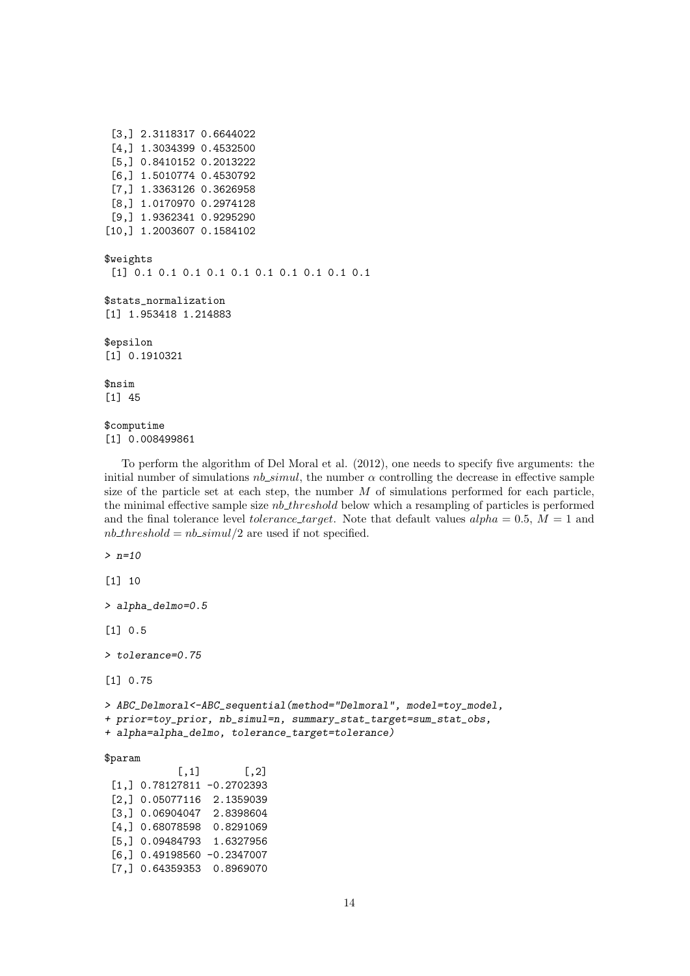[3,] 2.3118317 0.6644022 [4,] 1.3034399 0.4532500 [5,] 0.8410152 0.2013222 [6,] 1.5010774 0.4530792 [7,] 1.3363126 0.3626958 [8,] 1.0170970 0.2974128 [9,] 1.9362341 0.9295290 [10,] 1.2003607 0.1584102

\$weights [1] 0.1 0.1 0.1 0.1 0.1 0.1 0.1 0.1 0.1 0.1

\$stats\_normalization [1] 1.953418 1.214883

\$epsilon [1] 0.1910321

\$nsim [1] 45

\$computime [1] 0.008499861

To perform the algorithm of Del Moral et al. (2012), one needs to specify five arguments: the initial number of simulations  $nb\text{-}simul$ , the number  $\alpha$  controlling the decrease in effective sample size of the particle set at each step, the number  $M$  of simulations performed for each particle, the minimal effective sample size  $nb\text{-}threshold$  below which a resampling of particles is performed and the final tolerance level tolerance target. Note that default values  $alpha = 0.5$ ,  $M = 1$  and  $nb\_threshold = nb\_simul/2$  are used if not specified.

> n=10

[1] 10

```
> alpha_delmo=0.5
```
[1] 0.5

```
> tolerance=0.75
```
[1] 0.75

```
> ABC_Delmoral<-ABC_sequential(method="Delmoral", model=toy_model,
+ prior=toy_prior, nb_simul=n, summary_stat_target=sum_stat_obs,
```

```
+ alpha=alpha_delmo, tolerance_target=tolerance)
```

```
$param
```
 $[,1]$   $[,2]$ [1,] 0.78127811 -0.2702393 [2,] 0.05077116 2.1359039 [3,] 0.06904047 2.8398604 [4,] 0.68078598 0.8291069 [5,] 0.09484793 1.6327956 [6,] 0.49198560 -0.2347007 [7,] 0.64359353 0.8969070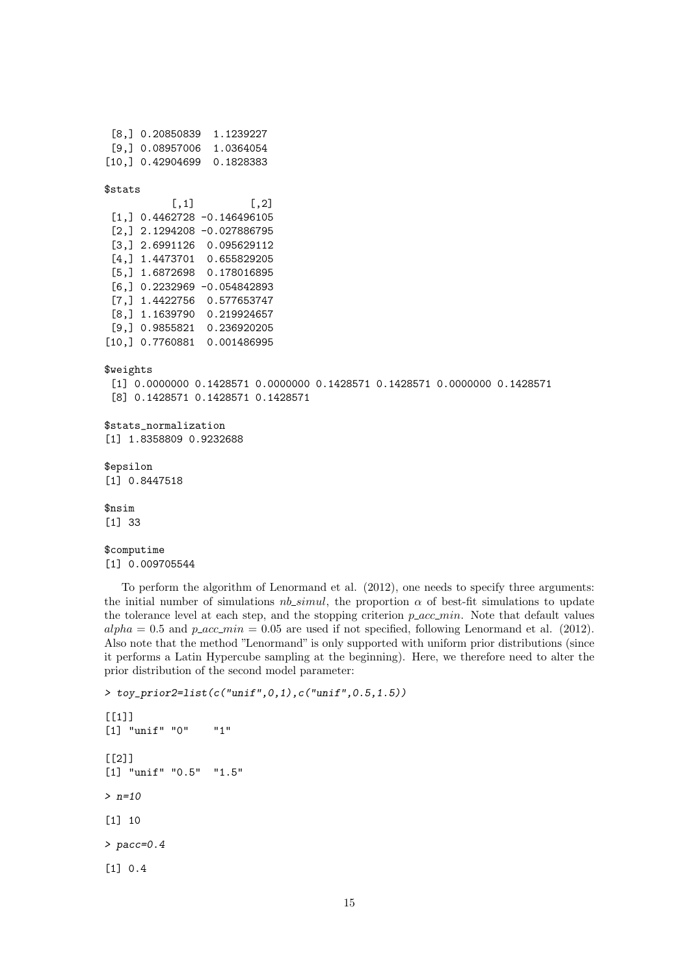```
[8,] 0.20850839 1.1239227
 [9,] 0.08957006 1.0364054
[10,] 0.42904699 0.1828383
$stats
           [,1] [,2]
 [1,] 0.4462728 -0.146496105
 [2,] 2.1294208 -0.027886795
 [3,] 2.6991126 0.095629112
 [4,] 1.4473701 0.655829205
 [5,] 1.6872698 0.178016895
 [6,] 0.2232969 -0.054842893
 [7,] 1.4422756 0.577653747
 [8,] 1.1639790 0.219924657
 [9,] 0.9855821 0.236920205
[10,] 0.7760881 0.001486995
$weights
 [1] 0.0000000 0.1428571 0.0000000 0.1428571 0.1428571 0.0000000 0.1428571
 [8] 0.1428571 0.1428571 0.1428571
$stats_normalization
[1] 1.8358809 0.9232688
$epsilon
[1] 0.8447518
$nsim
[1] 33
$computime
[1] 0.009705544
```
To perform the algorithm of Lenormand et al. (2012), one needs to specify three arguments: the initial number of simulations  $nb\_{sim}$ , the proportion  $\alpha$  of best-fit simulations to update the tolerance level at each step, and the stopping criterion  $p\_acc\_min$ . Note that default values  $alpha = 0.5$  and  $p\_acc\_min = 0.05$  are used if not specified, following Lenormand et al. (2012). Also note that the method "Lenormand" is only supported with uniform prior distributions (since it performs a Latin Hypercube sampling at the beginning). Here, we therefore need to alter the prior distribution of the second model parameter:

```
> toy_prior2=list(c("unif",0,1),c("unif",0.5,1.5))
[[1]]
[1] "unif" "0" "1"
\Gamma[2]]
[1] "unif" "0.5" "1.5"
> n=10[1] 10> pacc=0.4
[1] 0.4
```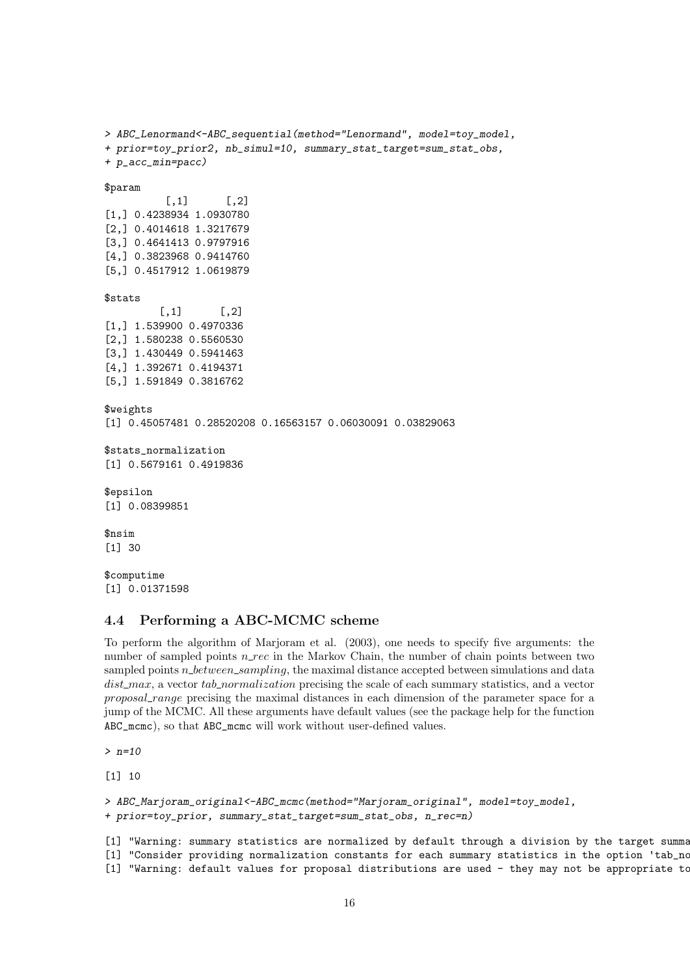```
> ABC_Lenormand<-ABC_sequential(method="Lenormand", model=toy_model,
+ prior=toy_prior2, nb_simul=10, summary_stat_target=sum_stat_obs,
+ p_acc_min=pacc)
$param
          \lceil,1\rceil \lceil,2\rceil[1,] 0.4238934 1.0930780
[2,] 0.4014618 1.3217679
[3,] 0.4641413 0.9797916
[4,] 0.3823968 0.9414760
[5,] 0.4517912 1.0619879
$stats
         [0,1] [0,2][1,] 1.539900 0.4970336
[2,] 1.580238 0.5560530
[3,] 1.430449 0.5941463
[4,] 1.392671 0.4194371
[5,] 1.591849 0.3816762
$weights
[1] 0.45057481 0.28520208 0.16563157 0.06030091 0.03829063
$stats_normalization
[1] 0.5679161 0.4919836
$epsilon
[1] 0.08399851
$nsim
[1] 30
$computime
[1] 0.01371598
```
# <span id="page-15-0"></span>4.4 Performing a ABC-MCMC scheme

To perform the algorithm of Marjoram et al. (2003), one needs to specify five arguments: the number of sampled points  $n_{re}$  in the Markov Chain, the number of chain points between two sampled points *n*-between-sampling, the maximal distance accepted between simulations and data dist max, a vector tab normalization precising the scale of each summary statistics, and a vector proposal range precising the maximal distances in each dimension of the parameter space for a jump of the MCMC. All these arguments have default values (see the package help for the function ABC\_mcmc), so that ABC\_mcmc will work without user-defined values.

 $> n=10$ 

[1] 10

```
> ABC_Marjoram_original<-ABC_mcmc(method="Marjoram_original", model=toy_model,
+ prior=toy_prior, summary_stat_target=sum_stat_obs, n_rec=n)
[1] "Warning: summary statistics are normalized by default through a division by the target summa
[1] "Consider providing normalization constants for each summary statistics in the option 'tab_no
```

```
[1] "Warning: default values for proposal distributions are used - they may not be appropriate to
```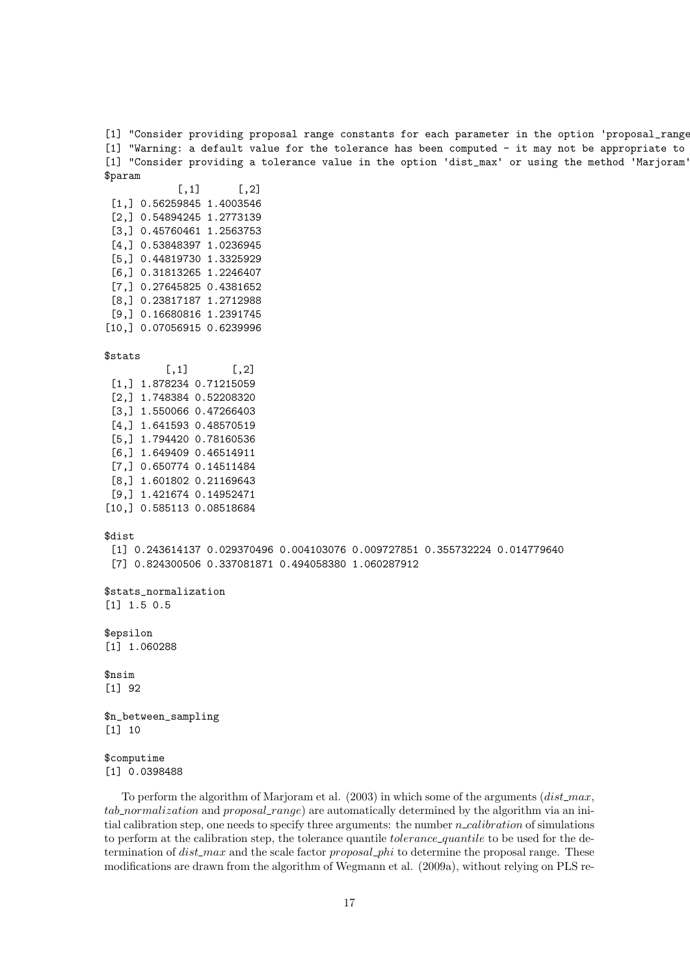[1] "Consider providing proposal range constants for each parameter in the option 'proposal\_range' [1] "Warning: a default value for the tolerance has been computed - it may not be appropriate to [1] "Consider providing a tolerance value in the option 'dist\_max' or using the method 'Marjoram' \$param

```
[,1] [,2][1,] 0.56259845 1.4003546
[2,] 0.54894245 1.2773139
[3,] 0.45760461 1.2563753
[4,] 0.53848397 1.0236945
[5,] 0.44819730 1.3325929
[6,] 0.31813265 1.2246407
[7,] 0.27645825 0.4381652
[8,] 0.23817187 1.2712988
[9,] 0.16680816 1.2391745
[10,] 0.07056915 0.6239996
```
#### \$stats

 $[,1]$   $[,2]$ [1,] 1.878234 0.71215059 [2,] 1.748384 0.52208320 [3,] 1.550066 0.47266403 [4,] 1.641593 0.48570519 [5,] 1.794420 0.78160536 [6,] 1.649409 0.46514911 [7,] 0.650774 0.14511484 [8,] 1.601802 0.21169643 [9,] 1.421674 0.14952471 [10,] 0.585113 0.08518684

\$dist

[1] 0.243614137 0.029370496 0.004103076 0.009727851 0.355732224 0.014779640 [7] 0.824300506 0.337081871 0.494058380 1.060287912

```
$stats_normalization
[1] 1.5 0.5
```
\$epsilon [1] 1.060288

### \$nsim [1] 92

\$n\_between\_sampling [1] 10

### \$computime [1] 0.0398488

To perform the algorithm of Marjoram et al.  $(2003)$  in which some of the arguments  $(dist_max,$  $tab\_normalization$  and  $proposal\_range$ ) are automatically determined by the algorithm via an initial calibration step, one needs to specify three arguments: the number  $n\_calibration$  of simulations to perform at the calibration step, the tolerance quantile tolerance quantile to be used for the determination of *dist\_max* and the scale factor *proposal\_phi* to determine the proposal range. These modifications are drawn from the algorithm of Wegmann et al. (2009a), without relying on PLS re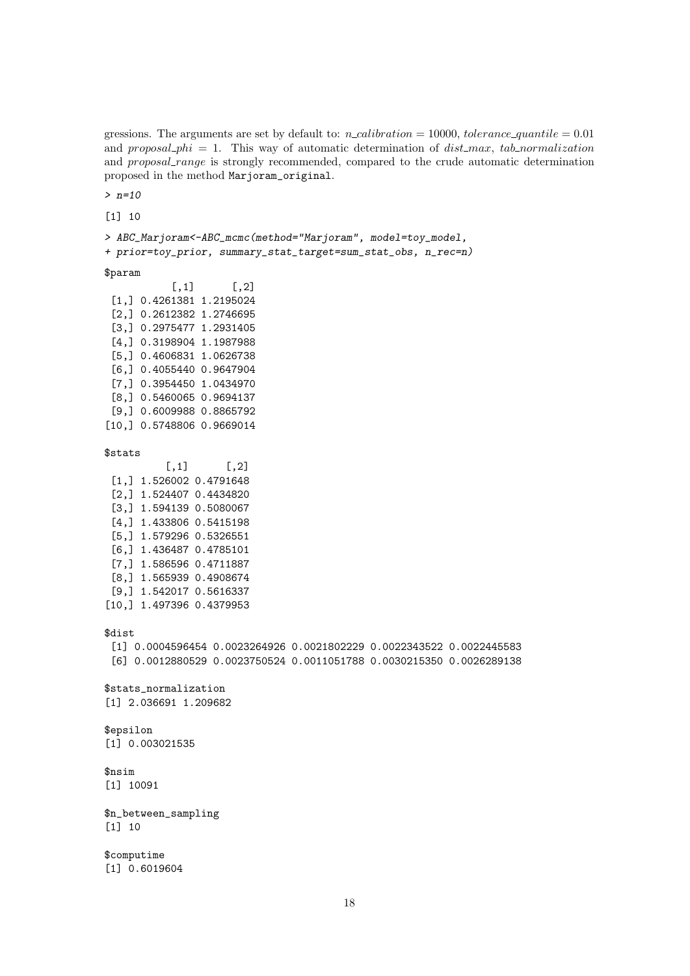gressions. The arguments are set by default to:  $n\text{-}calibration = 10000$ , tolerance quantile = 0.01 and proposal phi = 1. This way of automatic determination of dist max, tab normalization and proposal\_range is strongly recommended, compared to the crude automatic determination proposed in the method Marjoram\_original.

 $> n=10$ 

[1] 10

> ABC\_Marjoram<-ABC\_mcmc(method="Marjoram", model=toy\_model, + prior=toy\_prior, summary\_stat\_target=sum\_stat\_obs, n\_rec=n)

#### \$param

 $[,1]$   $[,2]$ [1,] 0.4261381 1.2195024 [2,] 0.2612382 1.2746695 [3,] 0.2975477 1.2931405 [4,] 0.3198904 1.1987988 [5,] 0.4606831 1.0626738 [6,] 0.4055440 0.9647904 [7,] 0.3954450 1.0434970 [8,] 0.5460065 0.9694137 [9,] 0.6009988 0.8865792 [10,] 0.5748806 0.9669014

\$stats

 $[,1]$   $[,2]$ [1,] 1.526002 0.4791648 [2,] 1.524407 0.4434820 [3,] 1.594139 0.5080067 [4,] 1.433806 0.5415198 [5,] 1.579296 0.5326551 [6,] 1.436487 0.4785101 [7,] 1.586596 0.4711887 [8,] 1.565939 0.4908674 [9,] 1.542017 0.5616337 [10,] 1.497396 0.4379953

#### \$dist

[1] 0.0004596454 0.0023264926 0.0021802229 0.0022343522 0.0022445583 [6] 0.0012880529 0.0023750524 0.0011051788 0.0030215350 0.0026289138

\$stats\_normalization [1] 2.036691 1.209682

# \$epsilon

[1] 0.003021535

# \$nsim

[1] 10091

\$n\_between\_sampling [1] 10

\$computime [1] 0.6019604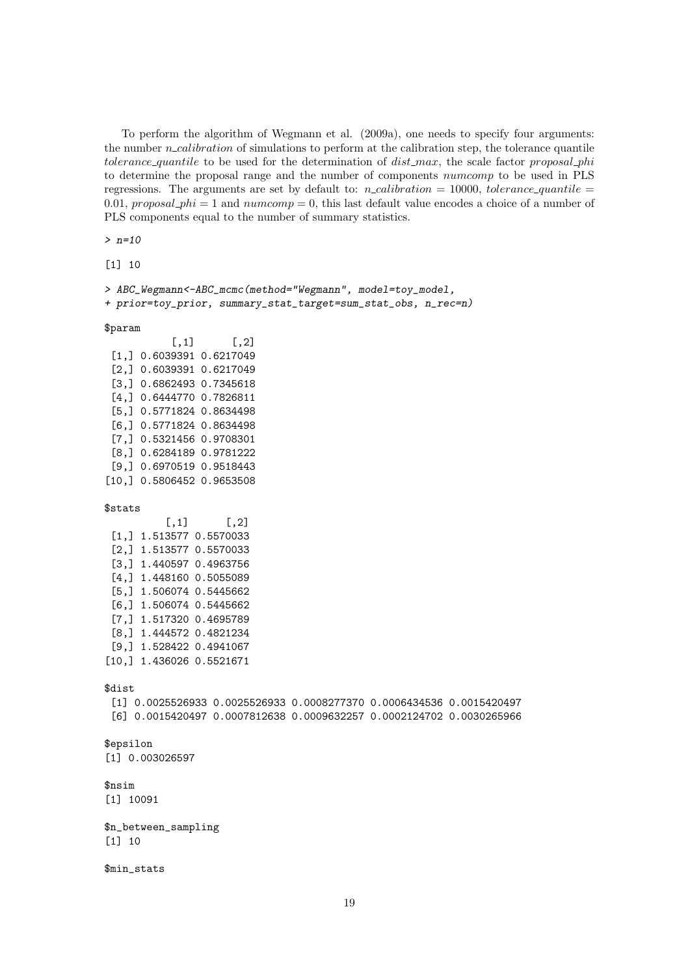To perform the algorithm of Wegmann et al. (2009a), one needs to specify four arguments: the number  $n$ -calibration of simulations to perform at the calibration step, the tolerance quantile tolerance quantile to be used for the determination of  $dist$ -max, the scale factor proposal phi to determine the proposal range and the number of components numcomp to be used in PLS regressions. The arguments are set by default to: n\_calibration = 10000, tolerance\_quantile = 0.01, proposal phi = 1 and numcomp = 0, this last default value encodes a choice of a number of PLS components equal to the number of summary statistics.

> n=10

[1] 10

> ABC Wegmann<-ABC mcmc(method="Wegmann", model=toy model, + prior=toy\_prior, summary\_stat\_target=sum\_stat\_obs, n\_rec=n) \$param  $[,1]$   $[,2]$ [1,] 0.6039391 0.6217049 [2,] 0.6039391 0.6217049 [3,] 0.6862493 0.7345618 [4,] 0.6444770 0.7826811 [5,] 0.5771824 0.8634498 [6,] 0.5771824 0.8634498 [7,] 0.5321456 0.9708301

[8,] 0.6284189 0.9781222 [9,] 0.6970519 0.9518443

[10,] 0.5806452 0.9653508

\$stats

 $[,1]$   $[,2]$ [1,] 1.513577 0.5570033 [2,] 1.513577 0.5570033 [3,] 1.440597 0.4963756 [4,] 1.448160 0.5055089 [5,] 1.506074 0.5445662 [6,] 1.506074 0.5445662 [7,] 1.517320 0.4695789 [8,] 1.444572 0.4821234 [9,] 1.528422 0.4941067 [10,] 1.436026 0.5521671

\$dist

[1] 0.0025526933 0.0025526933 0.0008277370 0.0006434536 0.0015420497 [6] 0.0015420497 0.0007812638 0.0009632257 0.0002124702 0.0030265966

\$epsilon [1] 0.003026597

\$nsim

[1] 10091

\$n\_between\_sampling [1] 10

\$min\_stats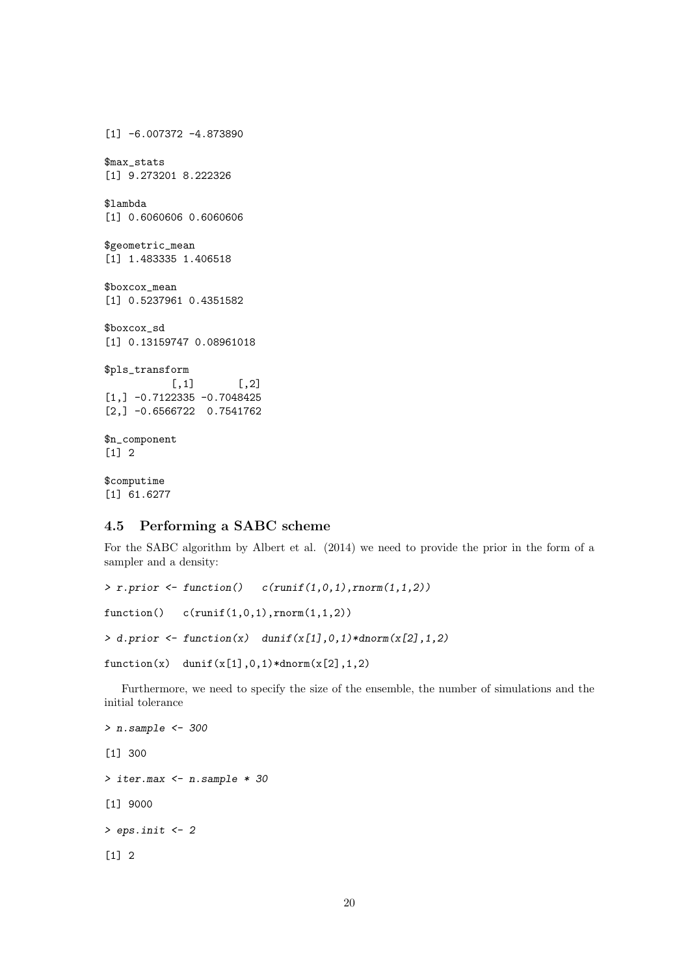```
[1] -6.007372 -4.873890
$max_stats
[1] 9.273201 8.222326
$lambda
[1] 0.6060606 0.6060606
$geometric_mean
[1] 1.483335 1.406518
$boxcox_mean
[1] 0.5237961 0.4351582
$boxcox_sd
[1] 0.13159747 0.08961018
$pls_transform
           [ ,1] [ ,2][1,] -0.7122335 -0.7048425[2,] -0.6566722 0.7541762
$n_component
[1] 2
$computime
[1] 61.6277
```
# <span id="page-19-0"></span>4.5 Performing a SABC scheme

For the SABC algorithm by Albert et al. (2014) we need to provide the prior in the form of a sampler and a density:

```
\rightarrow r.prior \leftarrow function() c(runif(1,0,1),rnorm(1,1,2))
function() c(runif(1,0,1),rnorm(1,1,2))> d.prior <- function(x) dunif(x[1],0,1)*dnorm(x[2],1,2)
function(x) dunif(x[1],0,1)*dnorm(x[2],1,2)
```
Furthermore, we need to specify the size of the ensemble, the number of simulations and the initial tolerance

```
> n.sample <- 300
[1] 300
> iter.max <- n.sample * 30
[1] 9000
> eps.init <-2[1] 2
```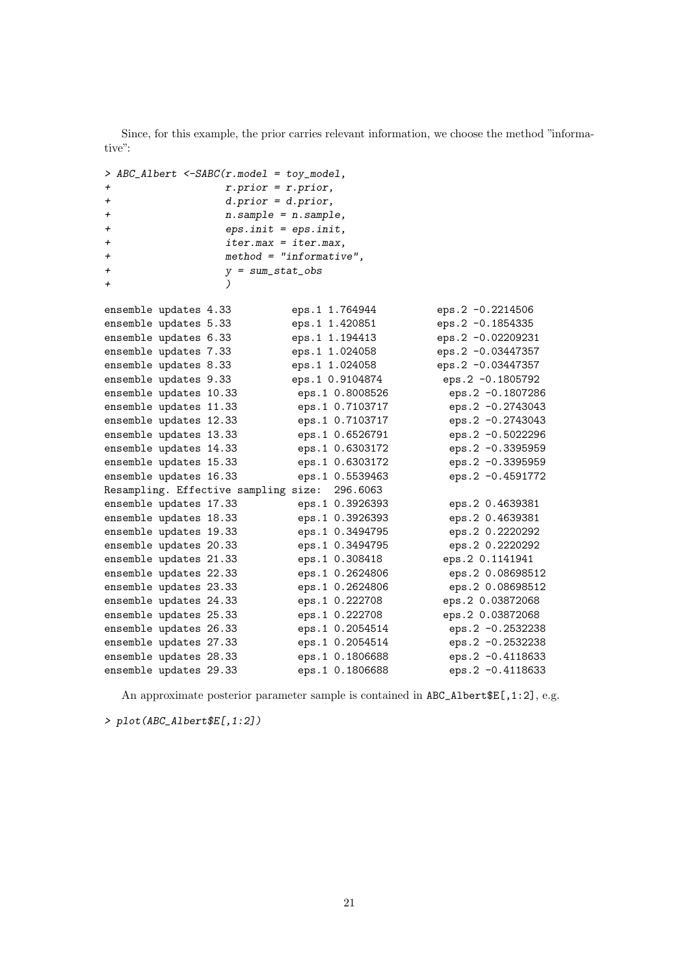Since, for this example, the prior carries relevant information, we choose the method "informative":

|                        | > ABC_Albert <-SABC(r.model = toy_model, |                            |                   |
|------------------------|------------------------------------------|----------------------------|-------------------|
| +                      | $r. prior = r. prior,$                   |                            |                   |
| $\pmb{+}$              | $d.prior = d.prior,$                     |                            |                   |
| $\pmb{+}$              | $n$ . sample = $n$ . sample,             |                            |                   |
| +                      | $eps.init =eps.init,$                    |                            |                   |
| +                      | $iter.max = iter.max,$                   |                            |                   |
| $\pmb{+}$              |                                          | $method = "information"$ , |                   |
| $\pmb{+}$              | $y = sum\_stat\_obs$                     |                            |                   |
| +                      | $\mathcal{C}$                            |                            |                   |
| ensemble updates 4.33  |                                          | eps.1 1.764944             | eps.2 -0.2214506  |
| ensemble updates 5.33  |                                          | eps.1 1.420851             | eps.2 -0.1854335  |
| ensemble updates 6.33  |                                          | eps.1 1.194413             | eps.2 -0.02209231 |
| ensemble updates 7.33  |                                          | eps.1 1.024058             | eps.2 -0.03447357 |
| ensemble updates 8.33  |                                          | eps.1 1.024058             | eps.2 -0.03447357 |
| ensemble updates 9.33  |                                          | eps.1 0.9104874            | eps.2 -0.1805792  |
| ensemble updates 10.33 |                                          | eps.1 0.8008526            | eps.2 -0.1807286  |
| ensemble updates 11.33 |                                          | eps.1 0.7103717            | eps.2 -0.2743043  |
| ensemble updates 12.33 |                                          | eps.1 0.7103717            | eps.2 -0.2743043  |
| ensemble updates 13.33 |                                          | eps.1 0.6526791            | eps.2 -0.5022296  |
| ensemble updates 14.33 |                                          | eps.1 0.6303172            | eps.2 -0.3395959  |
| ensemble updates 15.33 |                                          | eps.1 0.6303172            | eps.2 -0.3395959  |
| ensemble updates 16.33 |                                          | eps.1 0.5539463            | eps.2 -0.4591772  |
|                        | Resampling. Effective sampling size:     | 296.6063                   |                   |
| ensemble updates 17.33 |                                          | eps.1 0.3926393            | eps.2 0.4639381   |
| ensemble updates 18.33 |                                          | eps.1 0.3926393            | eps.2 0.4639381   |
| ensemble updates 19.33 |                                          | eps.1 0.3494795            | eps.2 0.2220292   |
| ensemble updates 20.33 |                                          | eps.1 0.3494795            | eps.2 0.2220292   |
| ensemble updates 21.33 |                                          | eps.1 0.308418             | eps.2 0.1141941   |
| ensemble updates 22.33 |                                          | eps.1 0.2624806            | eps.2 0.08698512  |
| ensemble updates 23.33 |                                          | eps.1 0.2624806            | eps.2 0.08698512  |
| ensemble updates 24.33 |                                          | eps.1 0.222708             | eps.2 0.03872068  |
| ensemble updates 25.33 |                                          | eps.1 0.222708             | eps.2 0.03872068  |
| ensemble updates 26.33 |                                          | eps.1 0.2054514            | eps.2 -0.2532238  |
| ensemble updates 27.33 |                                          | eps.1 0.2054514            | eps.2 -0.2532238  |
| ensemble updates 28.33 |                                          | eps.1 0.1806688            | eps.2 -0.4118633  |
| ensemble updates 29.33 |                                          | eps.1 0.1806688            | eps.2 -0.4118633  |

An approximate posterior parameter sample is contained in ABC\_Albert\$E[,1:2], e.g.

> plot(ABC\_Albert\$E[,1:2])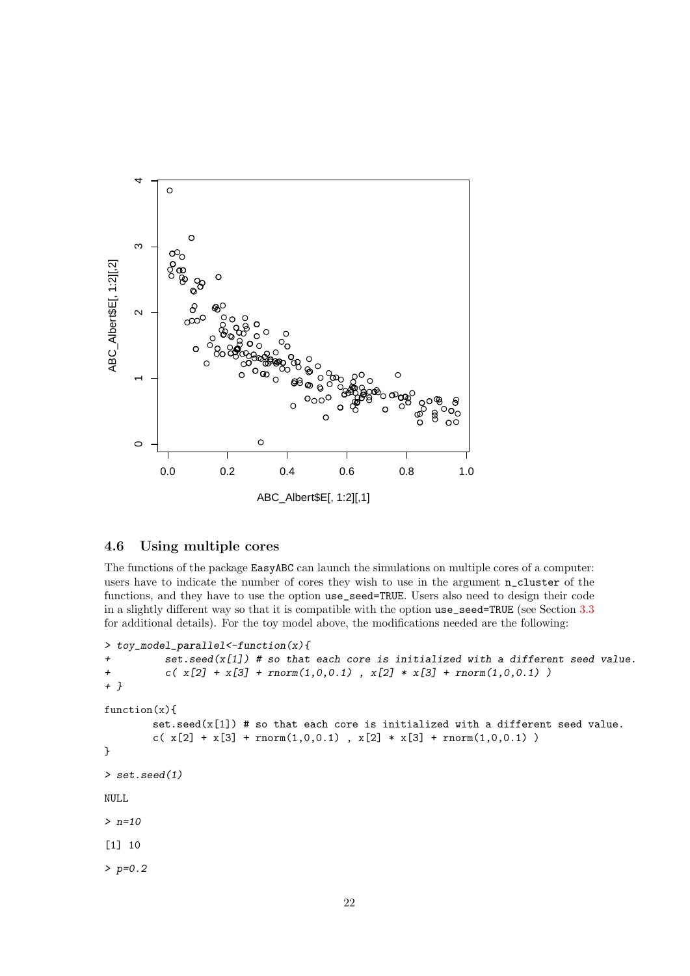

## <span id="page-21-0"></span>4.6 Using multiple cores

The functions of the package EasyABC can launch the simulations on multiple cores of a computer: users have to indicate the number of cores they wish to use in the argument n\_cluster of the functions, and they have to use the option use\_seed=TRUE. Users also need to design their code in a slightly different way so that it is compatible with the option use\_seed=TRUE (see Section [3.3](#page-4-0) for additional details). For the toy model above, the modifications needed are the following:

```
> toy_model_parallel<-function(x){
+ set.seed(x[1]) # so that each core is initialized with a different seed value.
+ c(x[2] + x[3] + rnorm(1,0,0.1), x[2] * x[3] + rnorm(1,0,0.1)+ }
function(x){
        set.seed(x[1]) # so that each core is initialized with a different seed value.
       c(x[2] + x[3] + \text{norm}(1,0,0.1), x[2] * x[3] + \text{norm}(1,0,0.1))
}
> set.seed(1)
NULL
> n=10
[1] 10
> p=0.2
```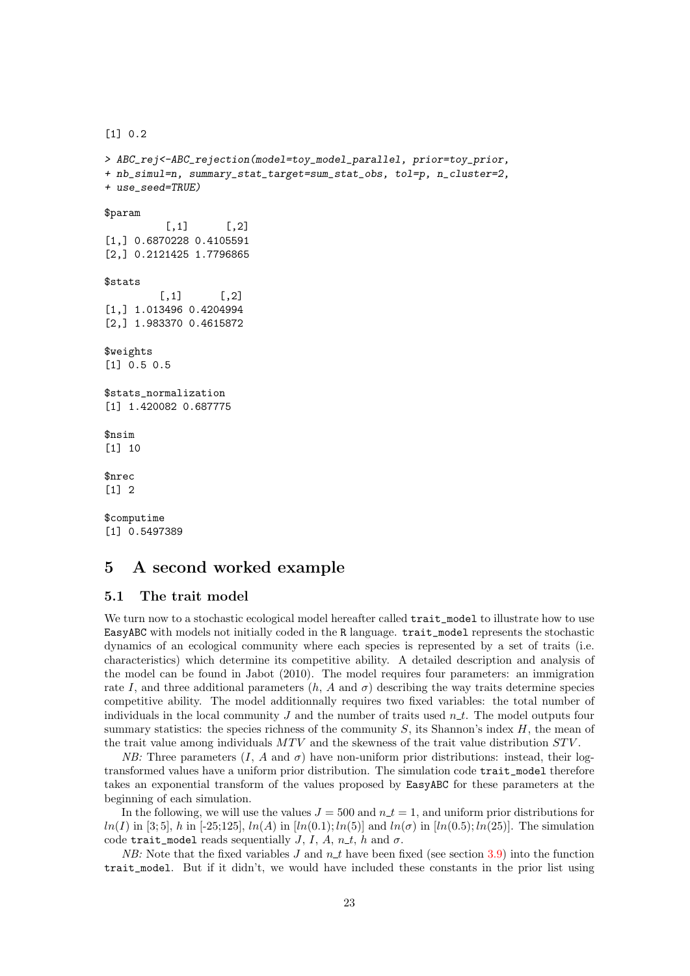```
[1] 0.2
```

```
> ABC_rej<-ABC_rejection(model=toy_model_parallel, prior=toy_prior,
+ nb_simul=n, summary_stat_target=sum_stat_obs, tol=p, n_cluster=2,
+ use_seed=TRUE)
$param
          [,1] [,2][1,] 0.6870228 0.4105591
[2,] 0.2121425 1.7796865
$stats
         [,1] [,2][1,] 1.013496 0.4204994
[2,] 1.983370 0.4615872
$weights
[1] 0.5 0.5
$stats_normalization
[1] 1.420082 0.687775
$nsim
[1] 10
$nrec
[1] 2
```
\$computime [1] 0.5497389

# <span id="page-22-0"></span>5 A second worked example

### <span id="page-22-1"></span>5.1 The trait model

We turn now to a stochastic ecological model hereafter called  $\mathtt{trait\_model}$  to illustrate how to use EasyABC with models not initially coded in the R language. trait\_model represents the stochastic dynamics of an ecological community where each species is represented by a set of traits (i.e. characteristics) which determine its competitive ability. A detailed description and analysis of the model can be found in Jabot (2010). The model requires four parameters: an immigration rate I, and three additional parameters  $(h, A \text{ and } \sigma)$  describing the way traits determine species competitive ability. The model additionnally requires two fixed variables: the total number of individuals in the local community J and the number of traits used  $n_t$ . The model outputs four summary statistics: the species richness of the community  $S$ , its Shannon's index  $H$ , the mean of the trait value among individuals  $MTV$  and the skewness of the trait value distribution  $STV$ .

NB: Three parameters  $(I, A \text{ and } \sigma)$  have non-uniform prior distributions: instead, their logtransformed values have a uniform prior distribution. The simulation code trait\_model therefore takes an exponential transform of the values proposed by EasyABC for these parameters at the beginning of each simulation.

In the following, we will use the values  $J = 500$  and  $n_t = 1$ , and uniform prior distributions for  $ln(I)$  in [3; 5], h in [-25;125],  $ln(A)$  in [ $ln(0.1); ln(5)$ ] and  $ln(\sigma)$  in [ $ln(0.5); ln(25)$ ]. The simulation code trait\_model reads sequentially  $J, I, A, n_t, h$  and  $\sigma$ .

 $NB:$  Note that the fixed variables J and  $n_t$  have been fixed (see section [3.9\)](#page-6-0) into the function trait\_model. But if it didn't, we would have included these constants in the prior list using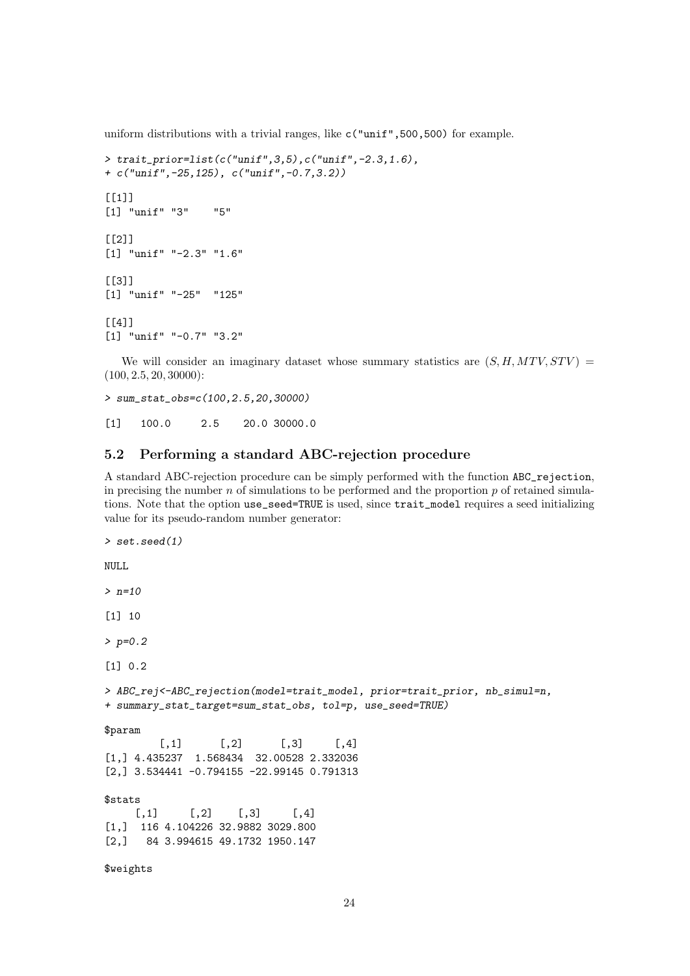uniform distributions with a trivial ranges, like  $c("unit", 500, 500)$  for example.

```
\rightarrow trait_prior=list(c("unif",3,5),c("unif",-2.3,1.6),
+ c("unif",-25,125), c("unif",-0.7,3.2))
[[1]]
[1] "unif" "3" "5"
[[2]]
[1] "unif" "-2.3" "1.6"
[[3]]
[1] "unif" "-25" "125"
\lceil[4]]
[1] "unif" "-0.7" "3.2"
```
We will consider an imaginary dataset whose summary statistics are  $(S, H, MTV, STV)$  =  $(100, 2.5, 20, 30000)$ :

> sum\_stat\_obs=c(100,2.5,20,30000)

[1] 100.0 2.5 20.0 30000.0

> set.seed(1)

# <span id="page-23-0"></span>5.2 Performing a standard ABC-rejection procedure

A standard ABC-rejection procedure can be simply performed with the function ABC\_rejection, in precising the number  $n$  of simulations to be performed and the proportion  $p$  of retained simulations. Note that the option use\_seed=TRUE is used, since trait\_model requires a seed initializing value for its pseudo-random number generator:

```
NULL
> n=10[1] 10
> p=0.2[1] 0.2
> ABC_rej<-ABC_rejection(model=trait_model, prior=trait_prior, nb_simul=n,
+ summary_stat_target=sum_stat_obs, tol=p, use_seed=TRUE)
$param
        [0,1] [0,2] [0,3] [0,4][1,] 4.435237 1.568434 32.00528 2.332036
[2,] 3.534441 -0.794155 -22.99145 0.791313
$stats
    [0,1] [0,2] [0,3] [0,4][1,] 116 4.104226 32.9882 3029.800
[2,] 84 3.994615 49.1732 1950.147
$weights
```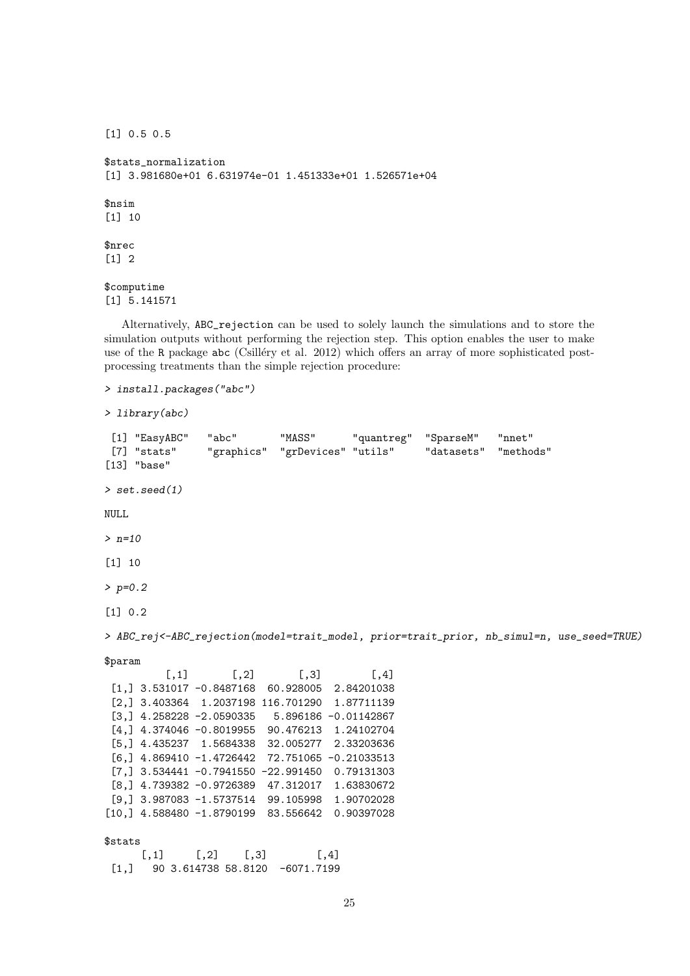```
[1] 0.5 0.5
$stats_normalization
[1] 3.981680e+01 6.631974e-01 1.451333e+01 1.526571e+04
$nsim
[1] 10
$nrec
[1] 2
$computime
[1] 5.141571
```
Alternatively, ABC\_rejection can be used to solely launch the simulations and to store the simulation outputs without performing the rejection step. This option enables the user to make use of the R package abc (Csilléry et al. 2012) which offers an array of more sophisticated postprocessing treatments than the simple rejection procedure:

```
> install.packages("abc")
```

```
> library(abc)
```

|             | [1] "EasyABC"<br>$[13]$ "base" | "abc"                                 |                                                                                                                                                                                                                                                                                                                                                                                                                                                                                                                                                            | "MASS" "quantreg" "SparseM"<br>[7] "stats" "graphics" "grDevices" "utils" "datasets" "methods" | "nnet" |  |
|-------------|--------------------------------|---------------------------------------|------------------------------------------------------------------------------------------------------------------------------------------------------------------------------------------------------------------------------------------------------------------------------------------------------------------------------------------------------------------------------------------------------------------------------------------------------------------------------------------------------------------------------------------------------------|------------------------------------------------------------------------------------------------|--------|--|
|             | $>$ set.seed(1)                |                                       |                                                                                                                                                                                                                                                                                                                                                                                                                                                                                                                                                            |                                                                                                |        |  |
| <b>NULL</b> |                                |                                       |                                                                                                                                                                                                                                                                                                                                                                                                                                                                                                                                                            |                                                                                                |        |  |
| $> n=10$    |                                |                                       |                                                                                                                                                                                                                                                                                                                                                                                                                                                                                                                                                            |                                                                                                |        |  |
| $[1] 10$    |                                |                                       |                                                                                                                                                                                                                                                                                                                                                                                                                                                                                                                                                            |                                                                                                |        |  |
| $> p=0.2$   |                                |                                       |                                                                                                                                                                                                                                                                                                                                                                                                                                                                                                                                                            |                                                                                                |        |  |
| [1] 0.2     |                                |                                       |                                                                                                                                                                                                                                                                                                                                                                                                                                                                                                                                                            |                                                                                                |        |  |
|             |                                |                                       |                                                                                                                                                                                                                                                                                                                                                                                                                                                                                                                                                            | > ABC_rej<-ABC_rejection(model=trait_model, prior=trait_prior, nb_simul=n, use_seed=TRUE)      |        |  |
| \$param     |                                | $\left[ ,1\right]$ $\left[ ,2\right]$ | $\left[ ,3\right]$<br>[0.4]<br>$[1, 3.531017 -0.8487168 60.928005 2.84201038$<br>$[2,]$ 3.403364 1.2037198 116.701290 1.87711139<br>$[3,]$ 4.258228 -2.0590335 5.896186 -0.01142867<br>$[4,]$ 4.374046 -0.8019955 90.476213 1.24102704<br>$[5,]$ 4.435237 1.5684338 32.005277 2.33203636<br>$[6,]$ 4.869410 -1.4726442 72.751065 -0.21033513<br>$[7,]$ 3.534441 -0.7941550 -22.991450 0.79131303<br>$[8,]$ 4.739382 -0.9726389 47.312017 1.63830672<br>$[9,]$ 3.987083 -1.5737514 99.105998 1.90702028<br>$[10, 14.588480 -1.8790199 83.556642 0.90397028$ |                                                                                                |        |  |
| \$stats     | [,1]                           | $\left[ ,2\right]$ $\left[ ,3\right]$ | [, 4]                                                                                                                                                                                                                                                                                                                                                                                                                                                                                                                                                      |                                                                                                |        |  |

[1,] 90 3.614738 58.8120 -6071.7199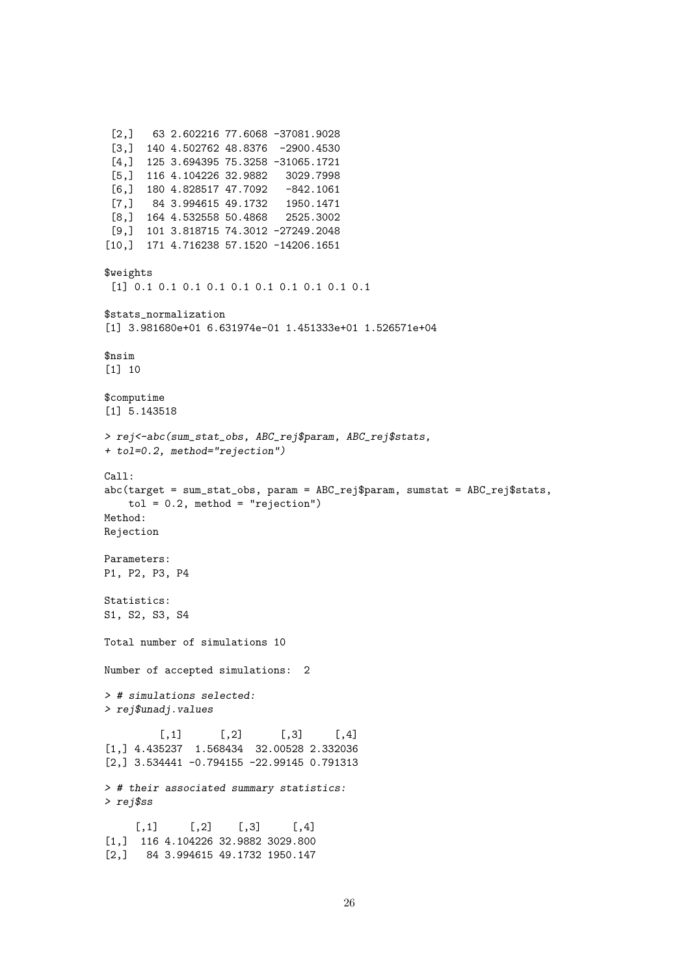```
[2,] 63 2.602216 77.6068 -37081.9028
 [3,] 140 4.502762 48.8376 -2900.4530
 [4,] 125 3.694395 75.3258 -31065.1721
 [5,] 116 4.104226 32.9882 3029.7998
 [6,] 180 4.828517 47.7092 -842.1061
 [7,] 84 3.994615 49.1732 1950.1471
 [8,] 164 4.532558 50.4868 2525.3002
 [9,] 101 3.818715 74.3012 -27249.2048
[10,] 171 4.716238 57.1520 -14206.1651
$weights
 [1] 0.1 0.1 0.1 0.1 0.1 0.1 0.1 0.1 0.1 0.1
$stats_normalization
[1] 3.981680e+01 6.631974e-01 1.451333e+01 1.526571e+04
$nsim
[1] 10
$computime
[1] 5.143518
> rej<-abc(sum_stat_obs, ABC_rej$param, ABC_rej$stats,
+ tol=0.2, method="rejection")
Call:
abc(target = sum_stat_obs, param = ABC_rej$param, sumstat = ABC_rej$stats,
   tol = 0.2, method = "rejection")
Method:
Rejection
Parameters:
P1, P2, P3, P4
Statistics:
S1, S2, S3, S4
Total number of simulations 10
Number of accepted simulations: 2
> # simulations selected:
> rej$unadj.values
         [,1] [,2] [,3] [,4]
[1,] 4.435237 1.568434 32.00528 2.332036
[2,] 3.534441 -0.794155 -22.99145 0.791313
> # their associated summary statistics:
> rej$ss
    [0,1] [0,2] [0,3] [0,4][1,] 116 4.104226 32.9882 3029.800
[2,] 84 3.994615 49.1732 1950.147
```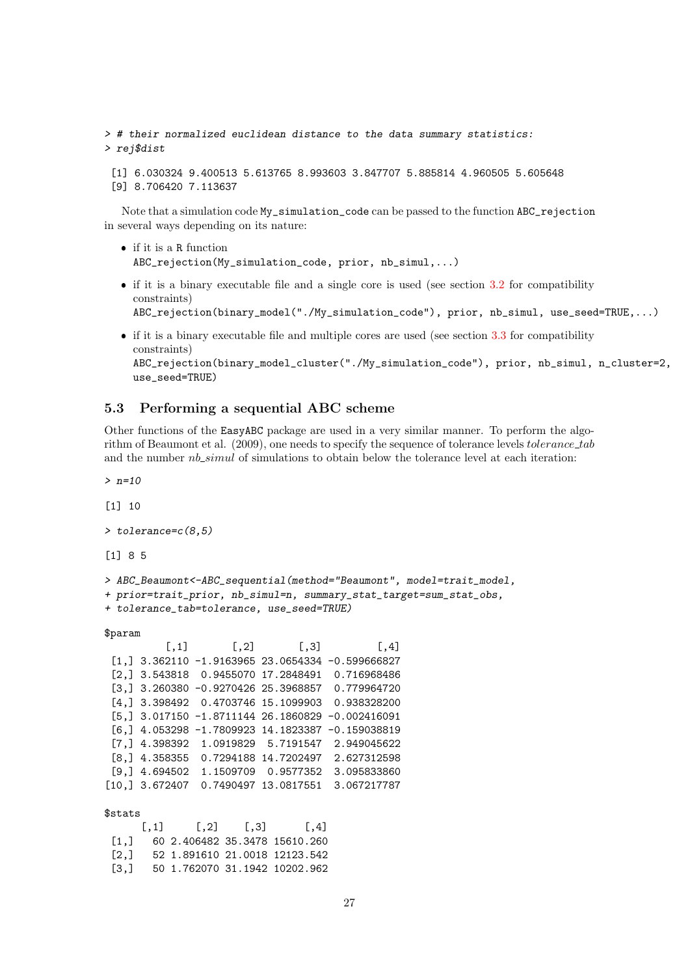```
> # their normalized euclidean distance to the data summary statistics:
> rej$dist
```

```
[1] 6.030324 9.400513 5.613765 8.993603 3.847707 5.885814 4.960505 5.605648
[9] 8.706420 7.113637
```
Note that a simulation code My\_simulation\_code can be passed to the function ABC\_rejection in several ways depending on its nature:

- $\bullet$  if it is a R function ABC\_rejection(My\_simulation\_code, prior, nb\_simul,...)
- $\bullet$  if it is a binary executable file and a single core is used (see section [3.2](#page-3-3) for compatibility constraints) ABC\_rejection(binary\_model("./My\_simulation\_code"), prior, nb\_simul, use\_seed=TRUE,...)
- $\bullet$  if it is a binary executable file and multiple cores are used (see section [3.3](#page-4-0) for compatibility constraints)

```
ABC_rejection(binary_model_cluster("./My_simulation_code"), prior, nb_simul, n_cluster=2,
use_seed=TRUE)
```
## <span id="page-26-0"></span>5.3 Performing a sequential ABC scheme

Other functions of the EasyABC package are used in a very similar manner. To perform the algorithm of Beaumont et al. (2009), one needs to specify the sequence of tolerance levels *tolerance\_tab* and the number *nb\_simul* of simulations to obtain below the tolerance level at each iteration:

 $> n=10$ 

[1] 10

```
> tolerance=c(8,5)
```
[1] 8 5

```
> ABC_Beaumont<-ABC_sequential(method="Beaumont", model=trait_model,
```
+ prior=trait\_prior, nb\_simul=n, summary\_stat\_target=sum\_stat\_obs,

```
+ tolerance_tab=tolerance, use_seed=TRUE)
```
\$param

|                  | $[0,1]$ $[0,2]$ $[0,3]$ |                      | [,4]                                               |
|------------------|-------------------------|----------------------|----------------------------------------------------|
|                  |                         |                      | $[1,]$ 3.362110 -1.9163965 23.0654334 -0.599666827 |
|                  |                         |                      | [2,] 3.543818  0.9455070  17.2848491  0.716968486  |
|                  |                         |                      | $[3,]$ 3.260380 -0.9270426 25.3968857 0.779964720  |
|                  |                         |                      | [4,] 3.398492 0.4703746 15.1099903 0.938328200     |
|                  |                         |                      | $[5,]$ 3.017150 -1.8711144 26.1860829 -0.002416091 |
|                  |                         |                      | $[6,]$ 4.053298 -1.7809923 14.1823387 -0.159038819 |
|                  |                         |                      | $[7,]$ 4.398392 1.0919829 5.7191547 2.949045622    |
|                  |                         |                      | $[8,]$ 4.358355 0.7294188 14.7202497 2.627312598   |
| [9, 14.694502]   |                         | 1.1509709 0.9577352  | 3.095833860                                        |
| $[10,]$ 3.672407 |                         | 0.7490497 13.0817551 | 3.067217787                                        |

\$stats

|                                | $\lceil .1 \rceil$ | $\lceil .2 \rceil$ $\lceil .3 \rceil$ | $\left[ 1, 4 \right]$         |
|--------------------------------|--------------------|---------------------------------------|-------------------------------|
| $\lceil 1 \rceil$              |                    |                                       | 60 2.406482 35.3478 15610.260 |
| $\lceil 2.1 \rceil$            |                    |                                       | 52 1.891610 21.0018 12123.542 |
| $\left\lceil 3.1 \right\rceil$ |                    |                                       | 50 1.762070 31.1942 10202.962 |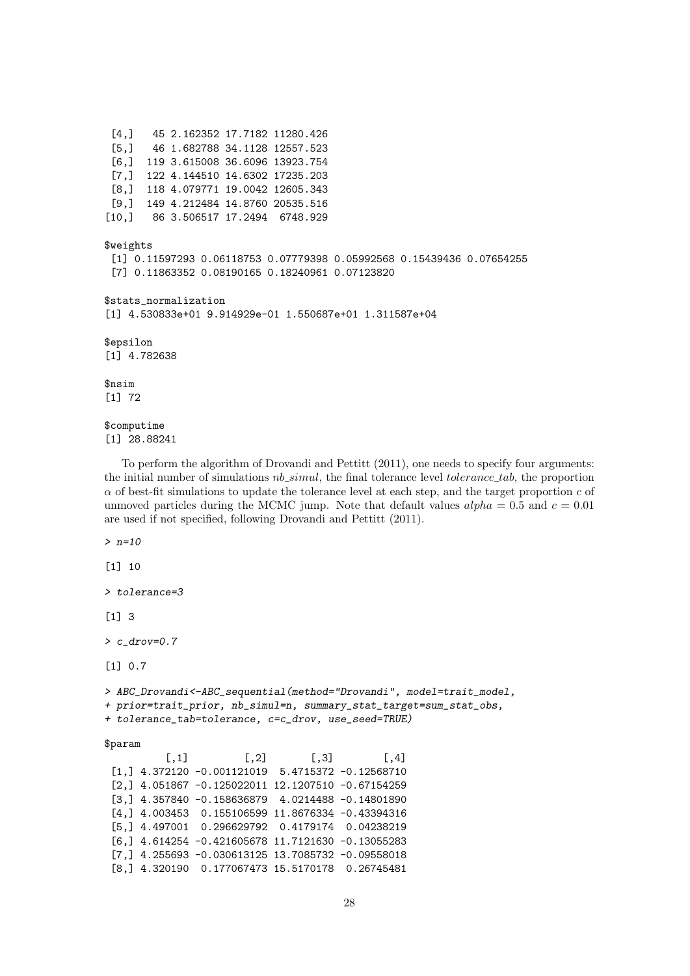[6,] 119 3.615008 36.6096 13923.754 [7,] 122 4.144510 14.6302 17235.203 [8,] 118 4.079771 19.0042 12605.343 [9,] 149 4.212484 14.8760 20535.516 [10,] 86 3.506517 17.2494 6748.929 \$weights [1] 0.11597293 0.06118753 0.07779398 0.05992568 0.15439436 0.07654255 [7] 0.11863352 0.08190165 0.18240961 0.07123820 \$stats\_normalization [1] 4.530833e+01 9.914929e-01 1.550687e+01 1.311587e+04 \$epsilon [1] 4.782638 \$nsim [1] 72 \$computime

[4,] 45 2.162352 17.7182 11280.426 [5,] 46 1.682788 34.1128 12557.523

[1] 28.88241

To perform the algorithm of Drovandi and Pettitt (2011), one needs to specify four arguments: the initial number of simulations  $nb\_simul$ , the final tolerance level tolerance tab, the proportion  $\alpha$  of best-fit simulations to update the tolerance level at each step, and the target proportion c of unmoved particles during the MCMC jump. Note that default values  $alpha = 0.5$  and  $c = 0.01$ are used if not specified, following Drovandi and Pettitt (2011).

> n=10

 $[1] 10$ 

> tolerance=3

[1] 3

 $> c \,$  drov=0.7

[1] 0.7

> ABC\_Drovandi<-ABC\_sequential(method="Drovandi", model=trait\_model,

```
+ prior=trait_prior, nb_simul=n, summary_stat_target=sum_stat_obs,
```
+ tolerance\_tab=tolerance, c=c\_drov, use\_seed=TRUE)

\$param

|  | $\left[ ,1\right]$ $\left[ ,2\right]$                | $[0,3]$ $[0,4]$ |
|--|------------------------------------------------------|-----------------|
|  | $[1, 1, 4.372120 -0.001121019 5.4715372 -0.12568710$ |                 |
|  | $[2,]$ 4.051867 -0.125022011 12.1207510 -0.67154259  |                 |
|  | $[3,]$ 4.357840 -0.158636879 4.0214488 -0.14801890   |                 |
|  | $[4,]$ 4.003453 0.155106599 11.8676334 -0.43394316   |                 |
|  | [5,] 4.497001  0.296629792  0.4179174  0.04238219    |                 |
|  | $[6,]$ 4.614254 -0.421605678 11.7121630 -0.13055283  |                 |
|  | $[7,]$ 4.255693 -0.030613125 13.7085732 -0.09558018  |                 |
|  | [8,] 4.320190  0.177067473  15.5170178  0.26745481   |                 |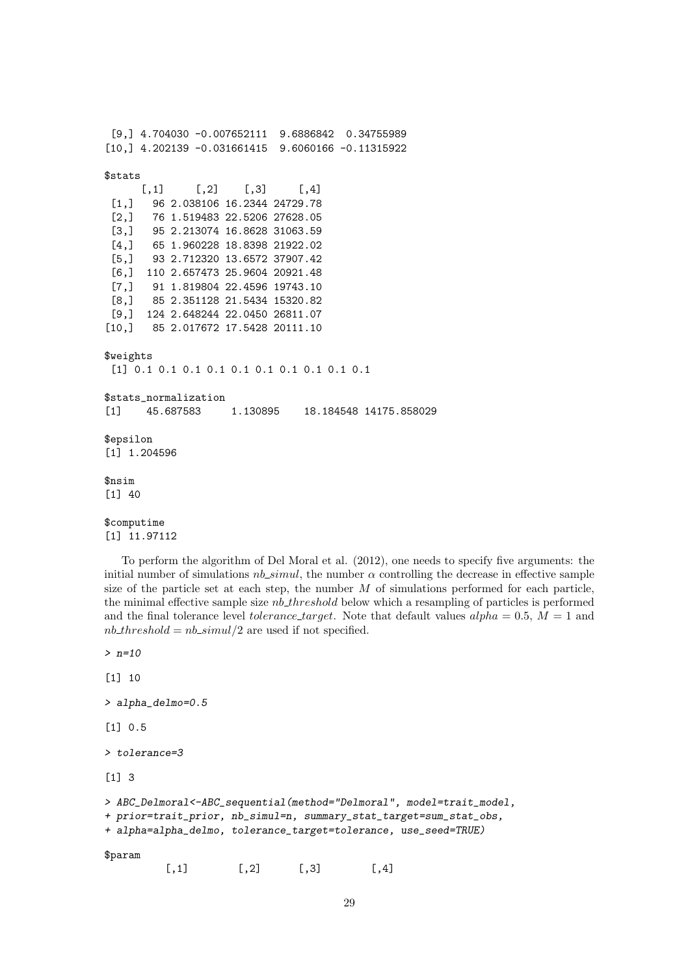[9,] 4.704030 -0.007652111 9.6886842 0.34755989 [10,] 4.202139 -0.031661415 9.6060166 -0.11315922 \$stats  $[0,1]$   $[0,2]$   $[0,3]$   $[0,4]$ [1,] 96 2.038106 16.2344 24729.78 [2,] 76 1.519483 22.5206 27628.05 [3,] 95 2.213074 16.8628 31063.59 [4,] 65 1.960228 18.8398 21922.02 [5,] 93 2.712320 13.6572 37907.42 [6,] 110 2.657473 25.9604 20921.48 [7,] 91 1.819804 22.4596 19743.10 [8,] 85 2.351128 21.5434 15320.82 [9,] 124 2.648244 22.0450 26811.07 [10,] 85 2.017672 17.5428 20111.10 \$weights [1] 0.1 0.1 0.1 0.1 0.1 0.1 0.1 0.1 0.1 0.1 \$stats\_normalization<br>[1] 45.687583 1.130895 18.184548 14175.858029 \$epsilon [1] 1.204596 \$nsim [1] 40 \$computime [1] 11.97112

To perform the algorithm of Del Moral et al. (2012), one needs to specify five arguments: the initial number of simulations  $nb\_simul$ , the number  $\alpha$  controlling the decrease in effective sample size of the particle set at each step, the number  $M$  of simulations performed for each particle, the minimal effective sample size  $nb\_threshold$  below which a resampling of particles is performed and the final tolerance level *tolerance\_target*. Note that default values  $alpha = 0.5$ ,  $M = 1$  and  $nb\_threshold = nb\_simul/2$  are used if not specified.

 $> n=10$ [1] 10 > alpha\_delmo=0.5 [1] 0.5 > tolerance=3 [1] 3 > ABC\_Delmoral<-ABC\_sequential(method="Delmoral", model=trait\_model, + prior=trait\_prior, nb\_simul=n, summary\_stat\_target=sum\_stat\_obs, + alpha=alpha\_delmo, tolerance\_target=tolerance, use\_seed=TRUE) \$param  $[0,1]$   $[0,2]$   $[0,3]$   $[0,4]$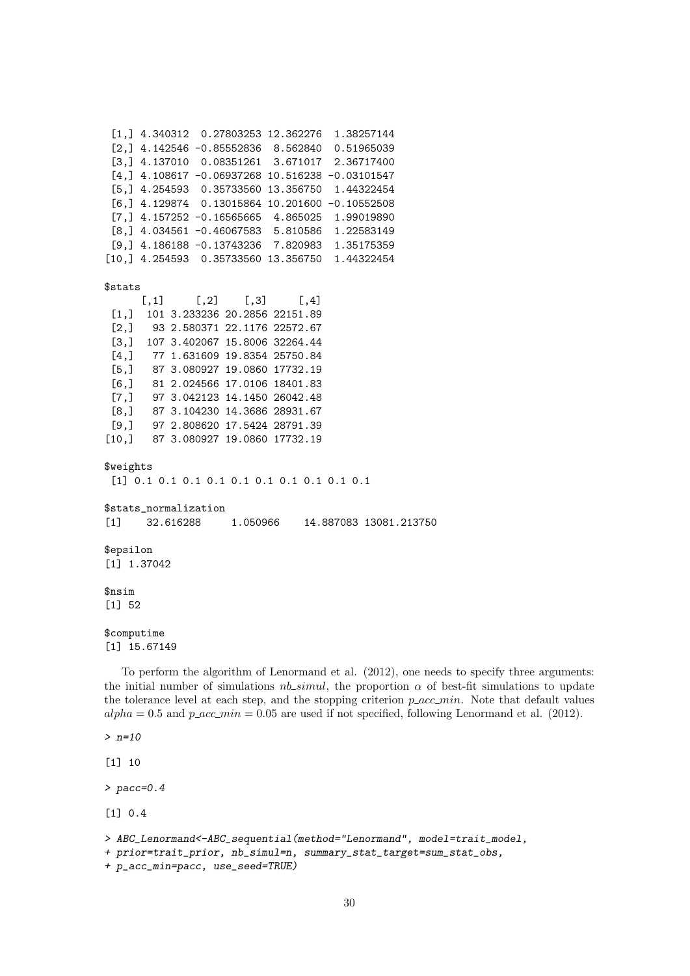[1,] 4.340312 0.27803253 12.362276 1.38257144 [2,] 4.142546 -0.85552836 8.562840 0.51965039 [3,] 4.137010 0.08351261 3.671017 2.36717400 [4,] 4.108617 -0.06937268 10.516238 -0.03101547 [5,] 4.254593 0.35733560 13.356750 1.44322454 [6,] 4.129874 0.13015864 10.201600 -0.10552508  $[7,]$  4.157252 -0.16565665 4.865025 1.99019890 [8,] 4.034561 -0.46067583 5.810586 1.22583149 [9,] 4.186188 -0.13743236 7.820983 1.35175359 [10,] 4.254593 0.35733560 13.356750 1.44322454 \$stats  $[0,1]$   $[0,2]$   $[0,3]$   $[0,4]$ [1,] 101 3.233236 20.2856 22151.89 [2,] 93 2.580371 22.1176 22572.67 [3,] 107 3.402067 15.8006 32264.44 [4,] 77 1.631609 19.8354 25750.84 [5,] 87 3.080927 19.0860 17732.19 [6,] 81 2.024566 17.0106 18401.83 [7,] 97 3.042123 14.1450 26042.48 [8,] 87 3.104230 14.3686 28931.67 [9,] 97 2.808620 17.5424 28791.39 [10,] 87 3.080927 19.0860 17732.19 \$weights [1] 0.1 0.1 0.1 0.1 0.1 0.1 0.1 0.1 0.1 0.1 \$stats\_normalization [1] 32.616288 1.050966 14.887083 13081.213750 \$epsilon [1] 1.37042 \$nsim [1] 52 \$computime [1] 15.67149

To perform the algorithm of Lenormand et al. (2012), one needs to specify three arguments: the initial number of simulations  $nb\_simul$ , the proportion  $\alpha$  of best-fit simulations to update the tolerance level at each step, and the stopping criterion  $p\_acc\_min$ . Note that default values  $alpha = 0.5$  and  $p\_acc\_min = 0.05$  are used if not specified, following Lenormand et al. (2012).

```
> n=10
```
 $[1]$  10

 $>$  pacc=0.4

[1] 0.4

```
> ABC_Lenormand<-ABC_sequential(method="Lenormand", model=trait_model,
```

```
+ prior=trait_prior, nb_simul=n, summary_stat_target=sum_stat_obs,
```

```
+ p_acc_min=pacc, use_seed=TRUE)
```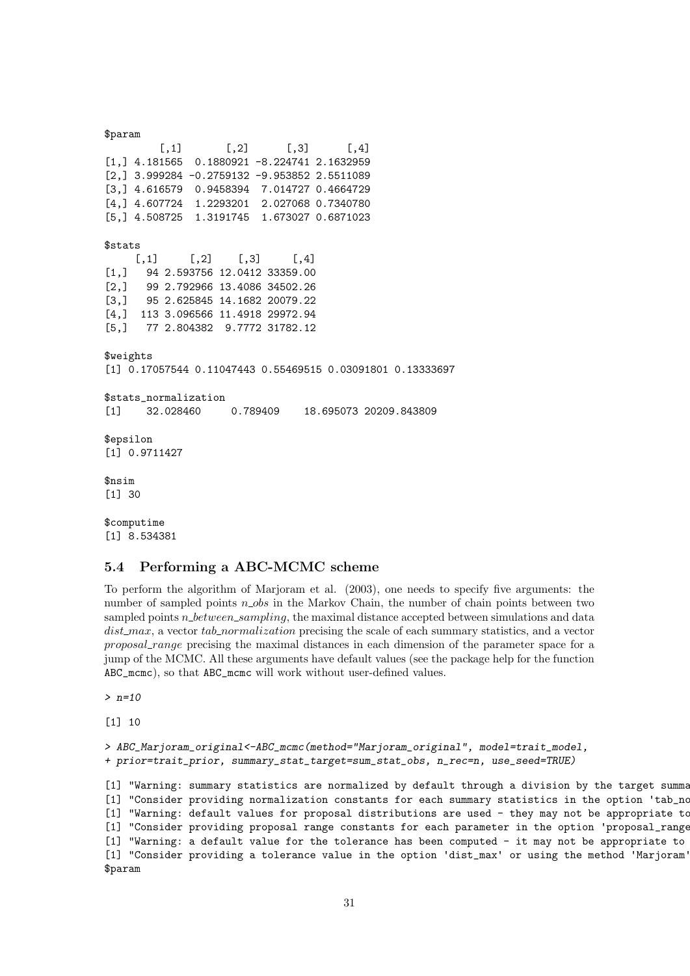\$param  $[$ ,1]  $[$ ,2]  $[$ ,3]  $[$ ,4] [1,] 4.181565 0.1880921 -8.224741 2.1632959 [2,] 3.999284 -0.2759132 -9.953852 2.5511089 [3,] 4.616579 0.9458394 7.014727 0.4664729 [4,] 4.607724 1.2293201 2.027068 0.7340780 [5,] 4.508725 1.3191745 1.673027 0.6871023 \$stats  $[0,1]$   $[0,2]$   $[0,3]$   $[0,4]$ [1,] 94 2.593756 12.0412 33359.00 [2,] 99 2.792966 13.4086 34502.26 [3,] 95 2.625845 14.1682 20079.22 [4,] 113 3.096566 11.4918 29972.94 [5,] 77 2.804382 9.7772 31782.12 \$weights [1] 0.17057544 0.11047443 0.55469515 0.03091801 0.13333697 \$stats\_normalization<br>[1] 32.028460 0.789409 18.695073 20209.843809 \$epsilon [1] 0.9711427 \$nsim [1] 30 \$computime [1] 8.534381

# <span id="page-30-0"></span>5.4 Performing a ABC-MCMC scheme

To perform the algorithm of Marjoram et al. (2003), one needs to specify five arguments: the number of sampled points  $n_{obs}$  in the Markov Chain, the number of chain points between two sampled points *n*-between-sampling, the maximal distance accepted between simulations and data  $dist\_max$ , a vector  $tab\_normalization$  precising the scale of each summary statistics, and a vector proposal range precising the maximal distances in each dimension of the parameter space for a jump of the MCMC. All these arguments have default values (see the package help for the function ABC\_mcmc), so that ABC\_mcmc will work without user-defined values.

```
> n=10
```
[1] 10

```
> ABC_Marjoram_original<-ABC_mcmc(method="Marjoram_original", model=trait_model,
+ prior=trait_prior, summary_stat_target=sum_stat_obs, n_rec=n, use_seed=TRUE)
```
[1] "Warning: summary statistics are normalized by default through a division by the target summa [1] "Consider providing normalization constants for each summary statistics in the option 'tab\_no [1] "Warning: default values for proposal distributions are used - they may not be appropriate to [1] "Consider providing proposal range constants for each parameter in the option 'proposal\_range  $[1]$  "Warning: a default value for the tolerance has been computed - it may not be appropriate to [1] "Consider providing a tolerance value in the option 'dist\_max' or using the method 'Marjoram' \$param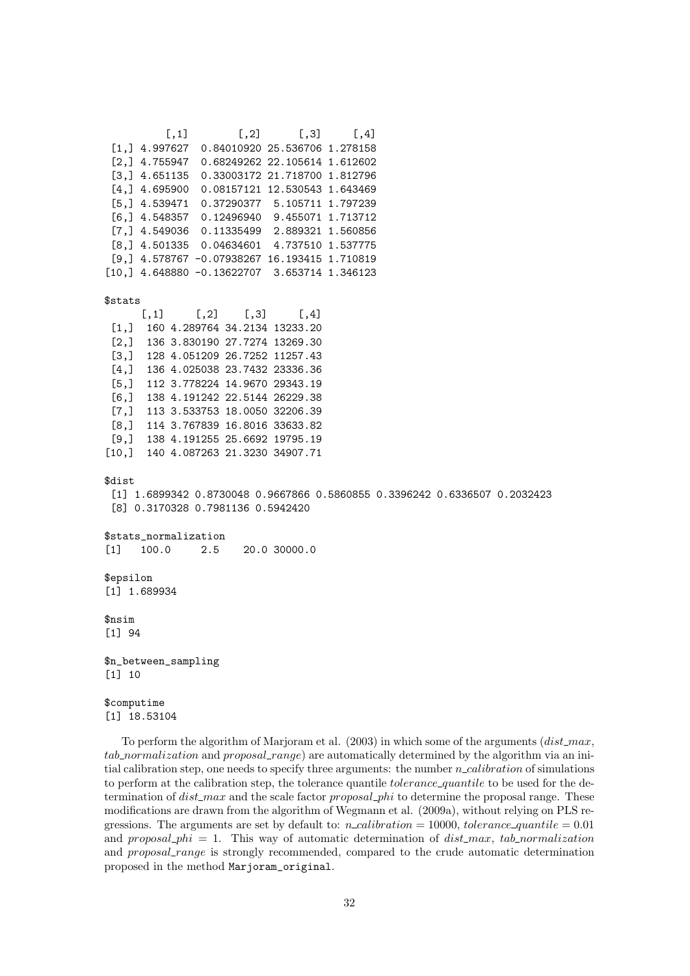$[0,1]$   $[0,2]$   $[0,3]$   $[0,4]$ [1,] 4.997627 0.84010920 25.536706 1.278158 [2,] 4.755947 0.68249262 22.105614 1.612602 [3,] 4.651135 0.33003172 21.718700 1.812796 [4,] 4.695900 0.08157121 12.530543 1.643469 [5,] 4.539471 0.37290377 5.105711 1.797239 [6,] 4.548357 0.12496940 9.455071 1.713712 [7,] 4.549036 0.11335499 2.889321 1.560856 [8,] 4.501335 0.04634601 4.737510 1.537775 [9,] 4.578767 -0.07938267 16.193415 1.710819 [10,] 4.648880 -0.13622707 3.653714 1.346123 \$stats  $[0,1]$   $[0,2]$   $[0,3]$   $[0,4]$ [1,] 160 4.289764 34.2134 13233.20 [2,] 136 3.830190 27.7274 13269.30 [3,] 128 4.051209 26.7252 11257.43 [4,] 136 4.025038 23.7432 23336.36 [5,] 112 3.778224 14.9670 29343.19 [6,] 138 4.191242 22.5144 26229.38 [7,] 113 3.533753 18.0050 32206.39 [8,] 114 3.767839 16.8016 33633.82 [9,] 138 4.191255 25.6692 19795.19 [10,] 140 4.087263 21.3230 34907.71 \$dist [1] 1.6899342 0.8730048 0.9667866 0.5860855 0.3396242 0.6336507 0.2032423 [8] 0.3170328 0.7981136 0.5942420 \$stats\_normalization [1] 100.0 2.5 20.0 30000.0 \$epsilon [1] 1.689934 \$nsim [1] 94 \$n\_between\_sampling [1] 10 \$computime [1] 18.53104

To perform the algorithm of Marjoram et al.  $(2003)$  in which some of the arguments  $(dist_max,$  $tab\_normalization$  and  $proposal\_range$ ) are automatically determined by the algorithm via an initial calibration step, one needs to specify three arguments: the number *n*-calibration of simulations to perform at the calibration step, the tolerance quantile tolerance quantile to be used for the determination of  $dist\_max$  and the scale factor proposal phi to determine the proposal range. These modifications are drawn from the algorithm of Wegmann et al. (2009a), without relying on PLS regressions. The arguments are set by default to:  $n\text{-}calibration = 10000$ , tolerance quantile  $= 0.01$ and proposal phi = 1. This way of automatic determination of  $dist_{max}$ , tab normalization and proposal\_range is strongly recommended, compared to the crude automatic determination proposed in the method Marjoram\_original.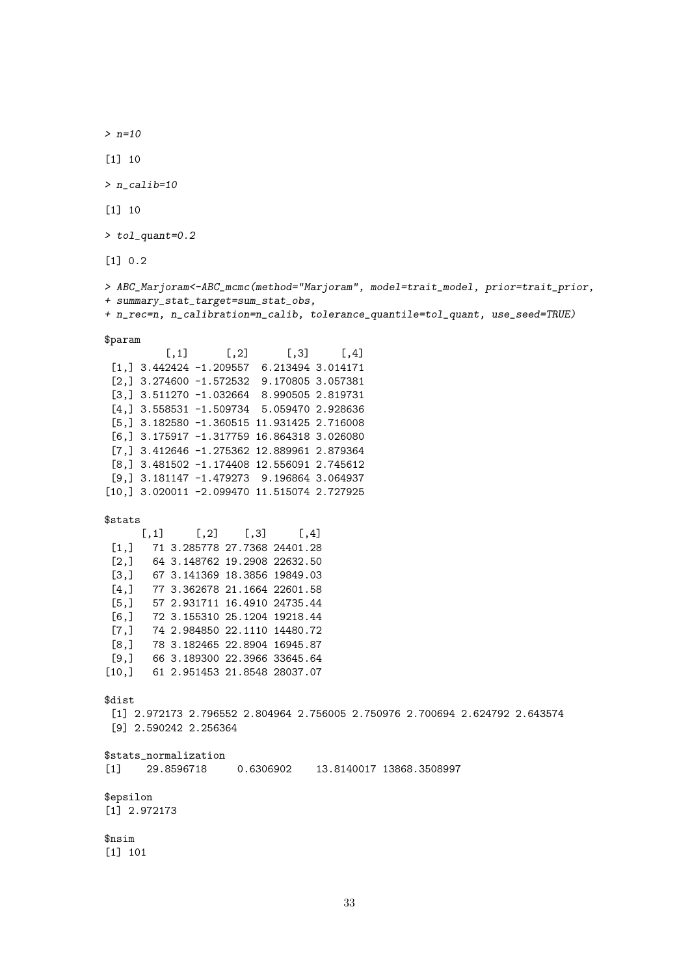> n=10 [1] 10 > n\_calib=10 [1] 10 > tol\_quant=0.2 [1] 0.2

```
> ABC_Marjoram<-ABC_mcmc(method="Marjoram", model=trait_model, prior=trait_prior,
+ summary_stat_target=sum_stat_obs,
```
+ n\_rec=n, n\_calibration=n\_calib, tolerance\_quantile=tol\_quant, use\_seed=TRUE)

### \$param

| φρατ απ |                                               |                   |                 |  |  |  |
|---------|-----------------------------------------------|-------------------|-----------------|--|--|--|
|         | $[ , 1] \qquad [ , 2]$                        |                   | $[$ ,3] $[$ ,4] |  |  |  |
|         | $[1,]$ 3.442424 -1.209557                     | 6.213494 3.014171 |                 |  |  |  |
|         | $[2,]$ 3.274600 -1.572532                     | 9.170805 3.057381 |                 |  |  |  |
|         | $[3,]$ 3.511270 -1.032664                     | 8.990505 2.819731 |                 |  |  |  |
|         | $[4,]$ 3.558531 -1.509734 5.059470 2.928636   |                   |                 |  |  |  |
|         | $[5,]$ 3.182580 -1.360515 11.931425 2.716008  |                   |                 |  |  |  |
|         | $[6,]$ 3.175917 -1.317759 16.864318 3.026080  |                   |                 |  |  |  |
|         | $[7,]$ 3.412646 -1.275362 12.889961 2.879364  |                   |                 |  |  |  |
|         | $[8,]$ 3.481502 -1.174408 12.556091 2.745612  |                   |                 |  |  |  |
|         | $[9,]$ 3.181147 -1.479273 9.196864 3.064937   |                   |                 |  |  |  |
|         | $[10,]$ 3.020011 -2.099470 11.515074 2.727925 |                   |                 |  |  |  |

\$stats

|                      |  | $\left[ ,1\right]$           |  | $[,2]$ $[,3]$ $[,4]$ |  |  |  |
|----------------------|--|------------------------------|--|----------------------|--|--|--|
| [1,]                 |  | 71 3.285778 27.7368 24401.28 |  |                      |  |  |  |
| [2,]                 |  | 64 3.148762 19.2908 22632.50 |  |                      |  |  |  |
| [3,]                 |  | 67 3.141369 18.3856 19849.03 |  |                      |  |  |  |
| [4,]                 |  | 77 3.362678 21.1664 22601.58 |  |                      |  |  |  |
| [5,]                 |  | 57 2.931711 16.4910 24735.44 |  |                      |  |  |  |
| $[6,$ ]              |  | 72 3.155310 25.1204 19218.44 |  |                      |  |  |  |
| [7,]                 |  | 74 2.984850 22.1110 14480.72 |  |                      |  |  |  |
| [8,]                 |  | 78 3.182465 22.8904 16945.87 |  |                      |  |  |  |
| [9,]                 |  | 66 3.189300 22.3966 33645.64 |  |                      |  |  |  |
| $\lceil 10.1 \rceil$ |  | 61 2.951453 21.8548 28037.07 |  |                      |  |  |  |

\$dist

[1] 2.972173 2.796552 2.804964 2.756005 2.750976 2.700694 2.624792 2.643574 [9] 2.590242 2.256364

\$stats\_normalization [1] 29.8596718 0.6306902 13.8140017 13868.3508997

\$epsilon [1] 2.972173

\$nsim [1] 101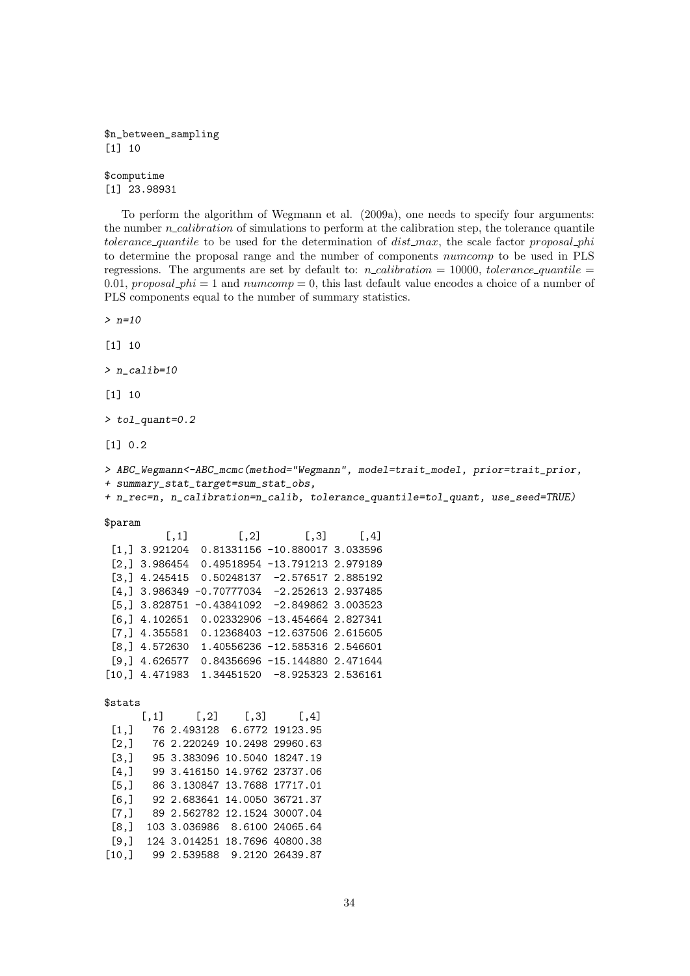```
$n_between_sampling
[1] 10
```
\$computime [1] 23.98931

To perform the algorithm of Wegmann et al. (2009a), one needs to specify four arguments: the number  $n$ -calibration of simulations to perform at the calibration step, the tolerance quantile tolerance quantile to be used for the determination of  $dist$ -max, the scale factor proposal-phi to determine the proposal range and the number of components numcomp to be used in PLS regressions. The arguments are set by default to:  $n\_calibration = 10000$ , tolerance quantile = 0.01, proposal\_phi = 1 and numcomp = 0, this last default value encodes a choice of a number of PLS components equal to the number of summary statistics.

> n=10 [1] 10 > n\_calib=10 [1] 10 > tol\_quant=0.2 [1] 0.2 > ABC\_Wegmann<-ABC\_mcmc(method="Wegmann", model=trait\_model, prior=trait\_prior, + summary\_stat\_target=sum\_stat\_obs, + n\_rec=n, n\_calibration=n\_calib, tolerance\_quantile=tol\_quant, use\_seed=TRUE) \$param  $[0,1]$   $[0,2]$   $[0,3]$   $[0,4]$ [1,] 3.921204 0.81331156 -10.880017 3.033596 [2,] 3.986454 0.49518954 -13.791213 2.979189 [3,] 4.245415 0.50248137 -2.576517 2.885192 [4,] 3.986349 -0.70777034 -2.252613 2.937485 [5,] 3.828751 -0.43841092 -2.849862 3.003523 [6,] 4.102651 0.02332906 -13.454664 2.827341 [7,] 4.355581 0.12368403 -12.637506 2.615605 [8,] 4.572630 1.40556236 -12.585316 2.546601 [9,] 4.626577 0.84356696 -15.144880 2.471644 [10,] 4.471983 1.34451520 -8.925323 2.536161

\$stats

|         | $\left[ ,1\right]$ $\left[ ,2\right]$ | $[,3]$ $[,4]$ |
|---------|---------------------------------------|---------------|
| [1,]    | 76 2.493128 6.6772 19123.95           |               |
| [2,]    | 76 2.220249 10.2498 29960.63          |               |
| [3,]    | 95 3.383096 10.5040 18247.19          |               |
| [4,]    | 99 3.416150 14.9762 23737.06          |               |
| [5,]    | 86 3.130847 13.7688 17717.01          |               |
| $[6,$ ] | 92 2.683641 14.0050 36721.37          |               |
| $[7,$ ] | 89 2.562782 12.1524 30007.04          |               |
| [8,]    | 103 3.036986 8.6100 24065.64          |               |
| $[9,$ ] | 124 3.014251 18.7696 40800.38         |               |
| [10,]   | 99 2.539588 9.2120 26439.87           |               |
|         |                                       |               |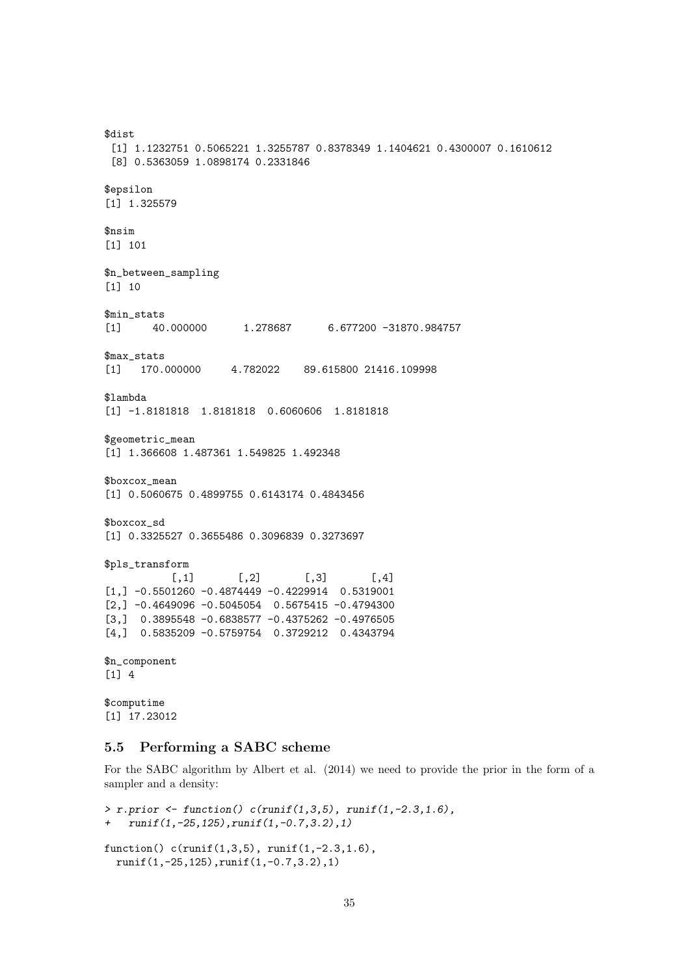```
$dist
 [1] 1.1232751 0.5065221 1.3255787 0.8378349 1.1404621 0.4300007 0.1610612
 [8] 0.5363059 1.0898174 0.2331846
$epsilon
[1] 1.325579
$nsim
[1] 101
$n_between_sampling
[1] 10
$min_stats
[1] 40.000000 1.278687 6.677200 -31870.984757
$max_stats
[1] 170.000000 4.782022 89.615800 21416.109998
$lambda
[1] -1.8181818 1.8181818 0.6060606 1.8181818
$geometric_mean
[1] 1.366608 1.487361 1.549825 1.492348
$boxcox_mean
[1] 0.5060675 0.4899755 0.6143174 0.4843456
$boxcox_sd
[1] 0.3325527 0.3655486 0.3096839 0.3273697
$pls_transform
          [0,1] [0,2] [0,3] [0,4][1,] -0.5501260 -0.4874449 -0.4229914 0.5319001[2,] -0.4649096 -0.5045054 0.5675415 -0.4794300
[3,] 0.3895548 -0.6838577 -0.4375262 -0.4976505
[4,] 0.5835209 -0.5759754 0.3729212 0.4343794
$n_component
[1] 4
$computime
[1] 17.23012
```
### <span id="page-34-0"></span>5.5 Performing a SABC scheme

For the SABC algorithm by Albert et al. (2014) we need to provide the prior in the form of a sampler and a density:

```
> r.prior \le function() c(runif(1,3,5), runif(1,-2.3,1.6),
  runif(1,-25,125), runif(1,-0.7,3.2),1)function() c(runif(1,3,5), runif(1,-2.3,1.6),runif(1,-25,125),runif(1,-0.7,3.2),1)
```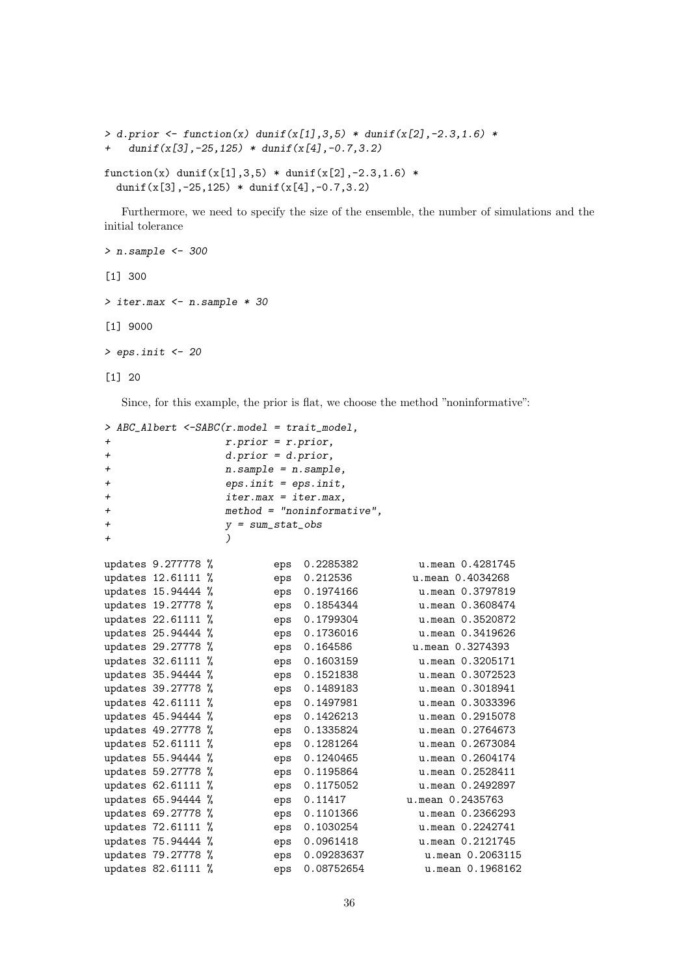```
> d. prior < - function(x) dunif(x[1],3,5) * dunif(x[2],-2.3,1.6) *
  dunif(x[3],-25,125) * dunif(x[4],-0.7,3.2)
function(x) dunif(x[1],3,5) * dunif(x[2],-2,3,1,6) *
  dunif(x[3],-25,125) * dunif(x[4],-0.7,3.2)
```
Furthermore, we need to specify the size of the ensemble, the number of simulations and the initial tolerance

```
> n.sample <-300[1] 300
> iter.max <- n.sample * 30
[1] 9000
> eps.init <-20[1] 20
```
Since, for this example, the prior is flat, we choose the method "noninformative":

```
> ABC_Albert <-SABC(r.model = trait_model,r. prior = r. prior,+ d.prior = d.prior,
+ n.sample = n.sample,
+ eps.init = eps.init,
+ iter.max = iter.max,
+ method = "noninformative",
+ y = sum_stat_obs
+ )
updates 9.277778 % eps 0.2285382 u.mean 0.4281745
updates 12.61111 % eps 0.212536 u.mean 0.4034268
updates 15.94444 % eps 0.1974166 u.mean 0.3797819<br>updates 19.27778 % eps 0.1854344 u.mean 0.3608474
updates 19.27778 % eps 0.1854344 u.mean 0.3608474
updates 22.61111 % eps 0.1799304 u.mean 0.3520872
updates 25.94444 % eps 0.1736016 u.mean 0.3419626
updates 29.27778 % eps 0.164586 u.mean 0.3274393
updates 32.61111 % eps 0.1603159 u.mean 0.3205171
updates 35.94444 % eps 0.1521838 u.mean 0.3072523<br>updates 39.27778 % eps 0.1489183 u.mean 0.3018941
updates 39.27778 % eps 0.1489183 u.mean 0.3018941
updates 42.61111 % eps 0.1497981 u.mean 0.3033396
updates 45.94444 % eps 0.1426213 u.mean 0.2915078
updates 49.27778 % eps 0.1335824 u.mean 0.2764673
updates 52.61111 % eps 0.1281264 u.mean 0.2673084
updates 55.94444 % eps 0.1240465 u.mean 0.2604174
updates 59.27778 % eps 0.1195864 u.mean 0.2528411
updates 62.61111 % eps 0.1175052 u.mean 0.2492897
updates 65.94444 % eps 0.11417 u.mean 0.2435763
updates 69.27778 % eps 0.1101366 u.mean 0.2366293
updates 72.61111 % eps 0.1030254 u.mean 0.2242741
updates 75.94444 % eps 0.0961418 u.mean 0.2121745
updates 79.27778 % eps 0.09283637 u.mean 0.2063115
updates 82.61111 % eps 0.08752654 u.mean 0.1968162
```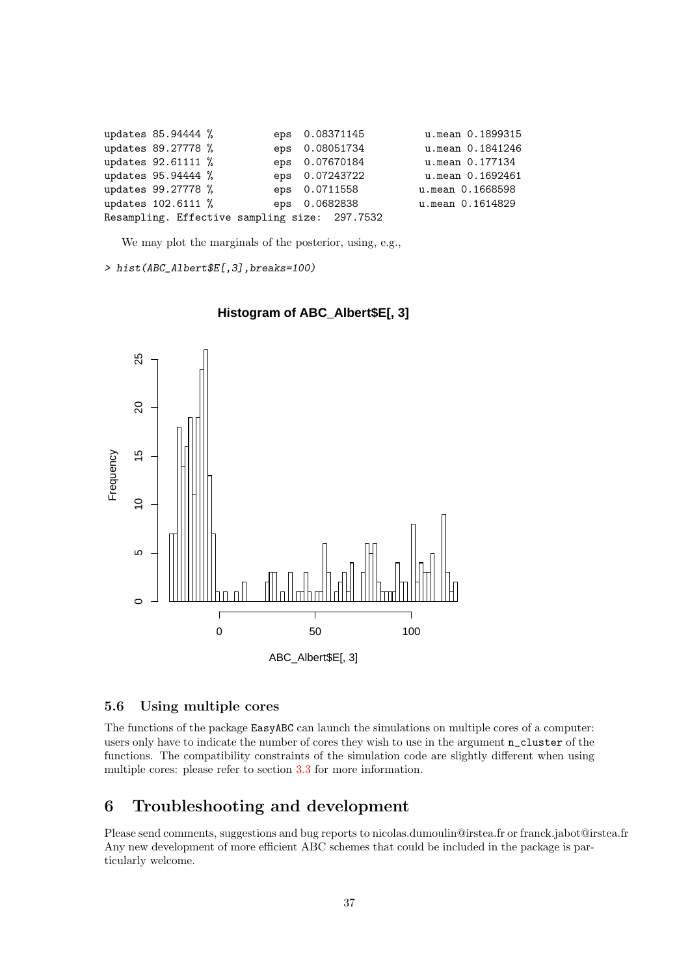| updates 85.94444 % |  | eps 0.08371145                                | u.mean 0.1899315 |
|--------------------|--|-----------------------------------------------|------------------|
| updates 89.27778 % |  | eps 0.08051734                                | u.mean 0.1841246 |
| updates 92.61111 % |  | eps 0.07670184                                | u.mean 0.177134  |
| updates 95.94444 % |  | eps 0.07243722                                | u.mean 0.1692461 |
| updates 99.27778 % |  | eps 0.0711558                                 | u.mean 0.1668598 |
| updates 102.6111 % |  | eps 0.0682838                                 | u.mean 0.1614829 |
|                    |  | Resampling. Effective sampling size: 297.7532 |                  |

We may plot the marginals of the posterior, using, e.g.,

> hist(ABC\_Albert\$E[,3],breaks=100)



# **Histogram of ABC\_Albert\$E[, 3]**

### <span id="page-36-0"></span>5.6 Using multiple cores

The functions of the package EasyABC can launch the simulations on multiple cores of a computer: users only have to indicate the number of cores they wish to use in the argument n\_cluster of the functions. The compatibility constraints of the simulation code are slightly different when using multiple cores: please refer to section [3.3](#page-4-0) for more information.

# <span id="page-36-1"></span>6 Troubleshooting and development

Please send comments, suggestions and bug reports to nicolas.dumoulin@irstea.fr or franck.jabot@irstea.fr Any new development of more efficient ABC schemes that could be included in the package is particularly welcome.